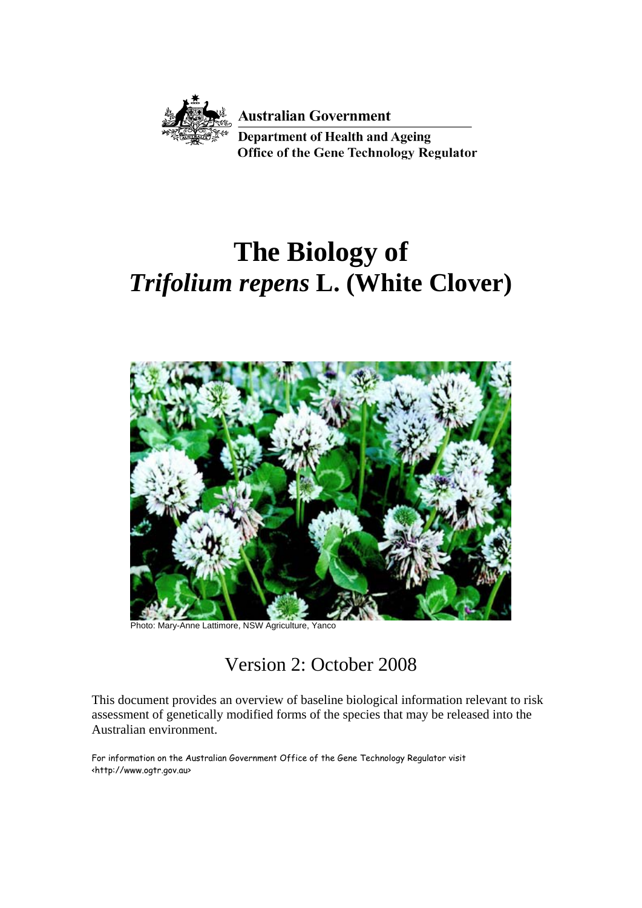

**Australian Government** 

**Department of Health and Ageing Office of the Gene Technology Regulator** 

# **The Biology of**  *Trifolium repens* **L. (White Clover)**



Photo: Mary-Anne Lattimore, NSW Agriculture, Yanco

# Version 2: October 2008

This document provides an overview of baseline biological information relevant to risk assessment of genetically modified forms of the species that may be released into the Australian environment.

For information on the Australian Government Office of the Gene Technology Regulator visit <http://www.ogtr.gov.au>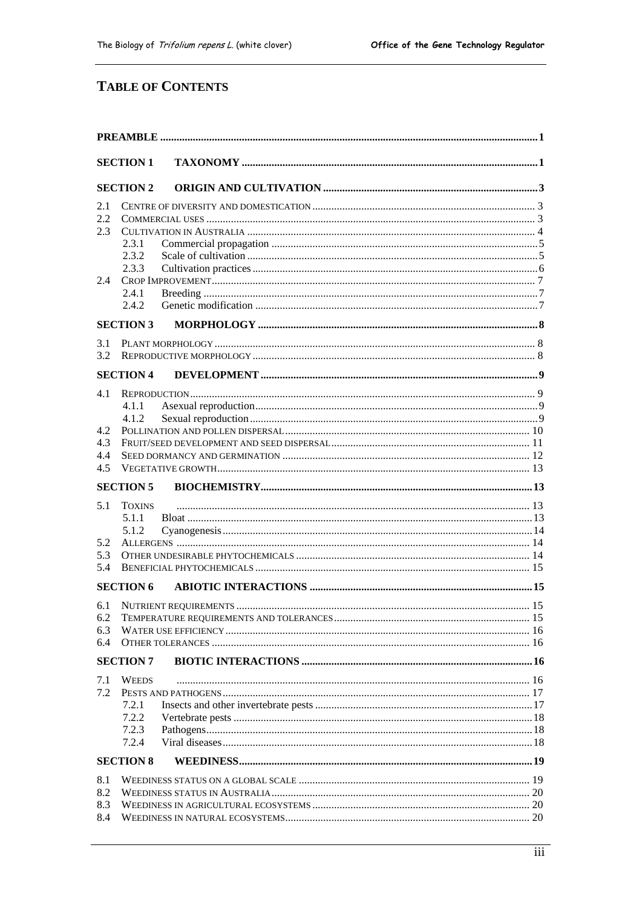# **TABLE OF CONTENTS**

|                                 | <b>SECTION 1</b>                 |  |  |  |  |
|---------------------------------|----------------------------------|--|--|--|--|
|                                 | <b>SECTION 2</b>                 |  |  |  |  |
| 2.1<br>2.2<br>2.3               | 2.3.1<br>2.3.2                   |  |  |  |  |
| 2.4                             | 2.3.3<br>2.4.1<br>2.4.2          |  |  |  |  |
|                                 | <b>SECTION 3</b>                 |  |  |  |  |
| 3.1<br>3.2                      |                                  |  |  |  |  |
|                                 | <b>SECTION 4</b>                 |  |  |  |  |
| 4.1<br>4.2<br>4.3<br>4.4<br>4.5 | 4.1.1<br>4.1.2                   |  |  |  |  |
|                                 | <b>SECTION 5</b>                 |  |  |  |  |
| 5.1<br>5.2<br>5.3<br>5.4        | <b>TOXINS</b><br>5.1.1<br>5.1.2  |  |  |  |  |
|                                 | <b>SECTION 6</b>                 |  |  |  |  |
| 6.1<br>6.2<br>6.3<br>6.4        | <b>SECTION 7</b>                 |  |  |  |  |
|                                 | <b>WEEDS</b>                     |  |  |  |  |
| 7.1<br>7.2                      | 7.2.1<br>7.2.2<br>7.2.3<br>7.2.4 |  |  |  |  |
|                                 | <b>SECTION 8</b>                 |  |  |  |  |
| 8.1<br>8.2<br>8.3<br>8.4        |                                  |  |  |  |  |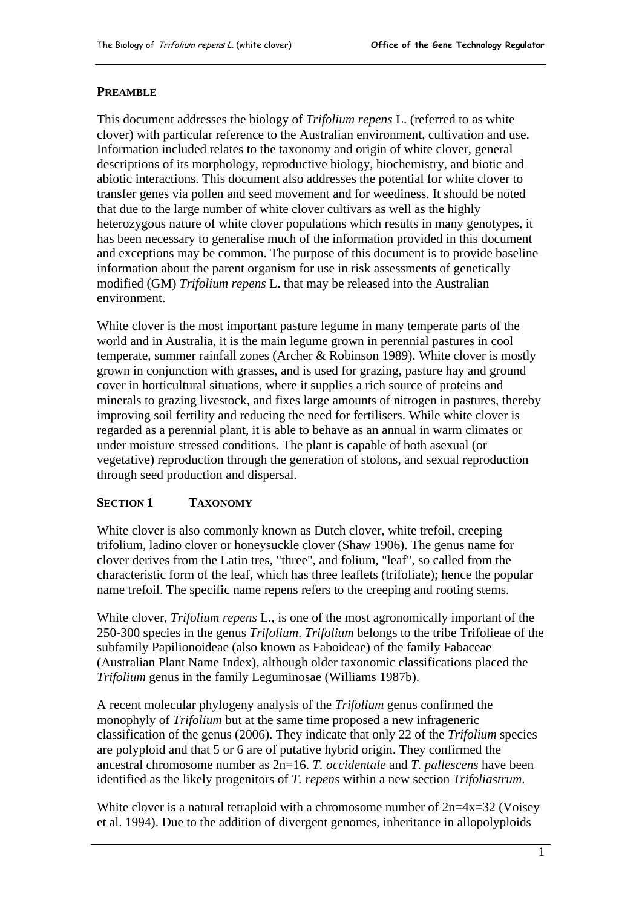#### <span id="page-4-0"></span>**PREAMBLE**

This document addresses the biology of *Trifolium repens* L. (referred to as white clover) with particular reference to the Australian environment, cultivation and use. Information included relates to the taxonomy and origin of white clover, general descriptions of its morphology, reproductive biology, biochemistry, and biotic and abiotic interactions. This document also addresses the potential for white clover to transfer genes via pollen and seed movement and for weediness. It should be noted that due to the large number of white clover cultivars as well as the highly heterozygous nature of white clover populations which results in many genotypes, it has been necessary to generalise much of the information provided in this document and exceptions may be common. The purpose of this document is to provide baseline information about the parent organism for use in risk assessments of genetically modified (GM) *Trifolium repens* L. that may be released into the Australian environment.

White clover is the most important pasture legume in many temperate parts of the world and in Australia, it is the main legume grown in perennial pastures in cool temperate, summer rainfall zones (Archer & Robinson 1989). White clover is mostly grown in conjunction with grasses, and is used for grazing, pasture hay and ground cover in horticultural situations, where it supplies a rich source of proteins and minerals to grazing livestock, and fixes large amounts of nitrogen in pastures, thereby improving soil fertility and reducing the need for fertilisers. While white clover is regarded as a perennial plant, it is able to behave as an annual in warm climates or under moisture stressed conditions. The plant is capable of both asexual (or vegetative) reproduction through the generation of stolons, and sexual reproduction through seed production and dispersal.

#### **SECTION 1 TAXONOMY**

White clover is also commonly known as Dutch clover, white trefoil, creeping trifolium, ladino clover or honeysuckle clover (Shaw 1906). The genus name for clover derives from the Latin tres, "three", and folium, "leaf", so called from the characteristic form of the leaf, which has three leaflets (trifoliate); hence the popular name trefoil. The specific name repens refers to the creeping and rooting stems.

White clover, *Trifolium repens* L., is one of the most agronomically important of the 250-300 species in the genus *Trifolium*. *Trifolium* belongs to the tribe Trifolieae of the subfamily Papilionoideae (also known as Faboideae) of the family Fabaceae (Australian Plant Name Index), although older taxonomic classifications placed the *Trifolium* genus in the family Leguminosae (Williams 1987b).

A recent molecular phylogeny analysis of the *Trifolium* genus confirmed the monophyly of *Trifolium* but at the same time proposed a new infrageneric classification of the genus (2006). They indicate that only 22 of the *Trifolium* species are polyploid and that 5 or 6 are of putative hybrid origin. They confirmed the ancestral chromosome number as 2n=16. *T. occidentale* and *T. pallescens* have been identified as the likely progenitors of *T. repens* within a new section *Trifoliastrum*.

White clover is a natural tetraploid with a chromosome number of  $2n=4x=32$  (Voisey et al. 1994). Due to the addition of divergent genomes, inheritance in allopolyploids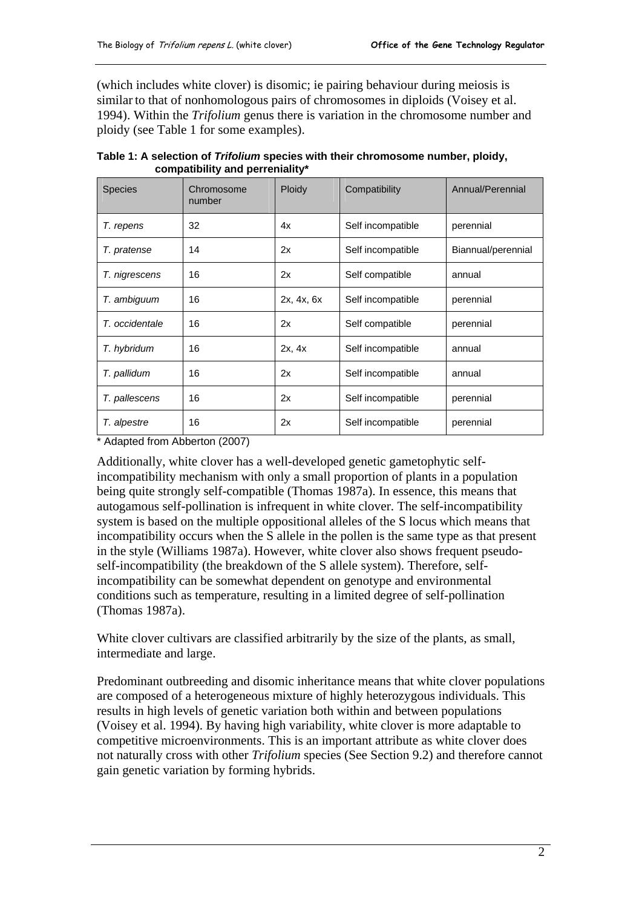(which includes white clover) is disomic; ie pairing behaviour during meiosis is similar to that of nonhomologous pairs of chromosomes in diploids (Voisey et al. 1994). Within the *Trifolium* genus there is variation in the chromosome number and ploidy (see Table 1 for some examples).

| <b>Species</b> | Chromosome<br>number | Ploidy     | Compatibility     | Annual/Perennial   |
|----------------|----------------------|------------|-------------------|--------------------|
| T. repens      | 32                   | 4x         | Self incompatible | perennial          |
| T. pratense    | 14                   | 2x         | Self incompatible | Biannual/perennial |
| T. nigrescens  | 16                   | 2x         | Self compatible   | annual             |
| T. ambiguum    | 16                   | 2x, 4x, 6x | Self incompatible | perennial          |
| T. occidentale | 16                   | 2x         | Self compatible   | perennial          |
| T. hybridum    | 16                   | 2x, 4x     | Self incompatible | annual             |
| T. pallidum    | 16                   | 2x         | Self incompatible | annual             |
| T. pallescens  | 16                   | 2x         | Self incompatible | perennial          |
| T. alpestre    | 16                   | 2x         | Self incompatible | perennial          |

**Table 1: A selection of** *Trifolium* **species with their chromosome number, ploidy, compatibility and perreniality\*** 

\* Adapted from Abberton (2007)

Additionally, white clover has a well-developed genetic gametophytic selfincompatibility mechanism with only a small proportion of plants in a population being quite strongly self-compatible (Thomas 1987a). In essence, this means that autogamous self-pollination is infrequent in white clover. The self-incompatibility system is based on the multiple oppositional alleles of the S locus which means that incompatibility occurs when the S allele in the pollen is the same type as that present in the style (Williams 1987a). However, white clover also shows frequent pseudoself-incompatibility (the breakdown of the S allele system). Therefore, selfincompatibility can be somewhat dependent on genotype and environmental conditions such as temperature, resulting in a limited degree of self-pollination (Thomas 1987a).

White clover cultivars are classified arbitrarily by the size of the plants, as small, intermediate and large.

Predominant outbreeding and disomic inheritance means that white clover populations are composed of a heterogeneous mixture of highly heterozygous individuals. This results in high levels of genetic variation both within and between populations (Voisey et al. 1994). By having high variability, white clover is more adaptable to competitive microenvironments. This is an important attribute as white clover does not naturally cross with other *Trifolium* species (See Section 9.2) and therefore cannot gain genetic variation by forming hybrids.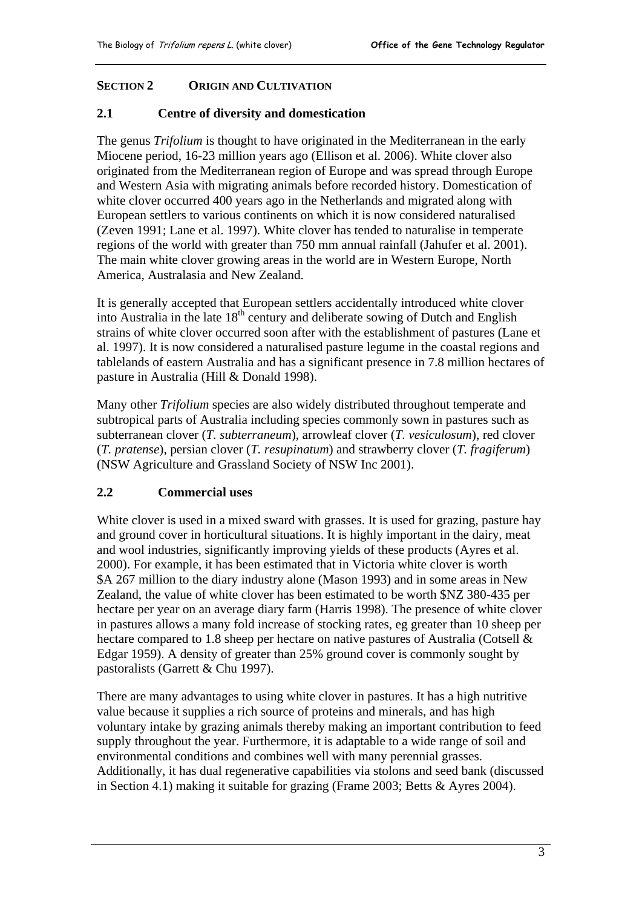# <span id="page-6-0"></span>**SECTION 2 ORIGIN AND CULTIVATION**

#### **2.1 Centre of diversity and domestication**

The genus *Trifolium* is thought to have originated in the Mediterranean in the early Miocene period, 16-23 million years ago (Ellison et al. 2006). White clover also originated from the Mediterranean region of Europe and was spread through Europe and Western Asia with migrating animals before recorded history. Domestication of white clover occurred 400 years ago in the Netherlands and migrated along with European settlers to various continents on which it is now considered naturalised (Zeven 1991; Lane et al. 1997). White clover has tended to naturalise in temperate regions of the world with greater than 750 mm annual rainfall (Jahufer et al. 2001). The main white clover growing areas in the world are in Western Europe, North America, Australasia and New Zealand.

It is generally accepted that European settlers accidentally introduced white clover into Australia in the late  $18<sup>th</sup>$  century and deliberate sowing of Dutch and English strains of white clover occurred soon after with the establishment of pastures (Lane et al. 1997). It is now considered a naturalised pasture legume in the coastal regions and tablelands of eastern Australia and has a significant presence in 7.8 million hectares of pasture in Australia (Hill & Donald 1998).

Many other *Trifolium* species are also widely distributed throughout temperate and subtropical parts of Australia including species commonly sown in pastures such as subterranean clover (*T. subterraneum*), arrowleaf clover (*T. vesiculosum*), red clover (*T. pratense*), persian clover (*T. resupinatum*) and strawberry clover (*T. fragiferum*) (NSW Agriculture and Grassland Society of NSW Inc 2001).

#### **2.2 Commercial uses**

White clover is used in a mixed sward with grasses. It is used for grazing, pasture hay and ground cover in horticultural situations. It is highly important in the dairy, meat and wool industries, significantly improving yields of these products (Ayres et al. 2000). For example, it has been estimated that in Victoria white clover is worth \$A 267 million to the diary industry alone (Mason 1993) and in some areas in New Zealand, the value of white clover has been estimated to be worth \$NZ 380-435 per hectare per year on an average diary farm (Harris 1998). The presence of white clover in pastures allows a many fold increase of stocking rates, eg greater than 10 sheep per hectare compared to 1.8 sheep per hectare on native pastures of Australia (Cotsell & Edgar 1959). A density of greater than 25% ground cover is commonly sought by pastoralists (Garrett & Chu 1997).

There are many advantages to using white clover in pastures. It has a high nutritive value because it supplies a rich source of proteins and minerals, and has high voluntary intake by grazing animals thereby making an important contribution to feed supply throughout the year. Furthermore, it is adaptable to a wide range of soil and environmental conditions and combines well with many perennial grasses. Additionally, it has dual regenerative capabilities via stolons and seed bank (discussed in Section 4.1) making it suitable for grazing (Frame 2003; Betts & Ayres 2004).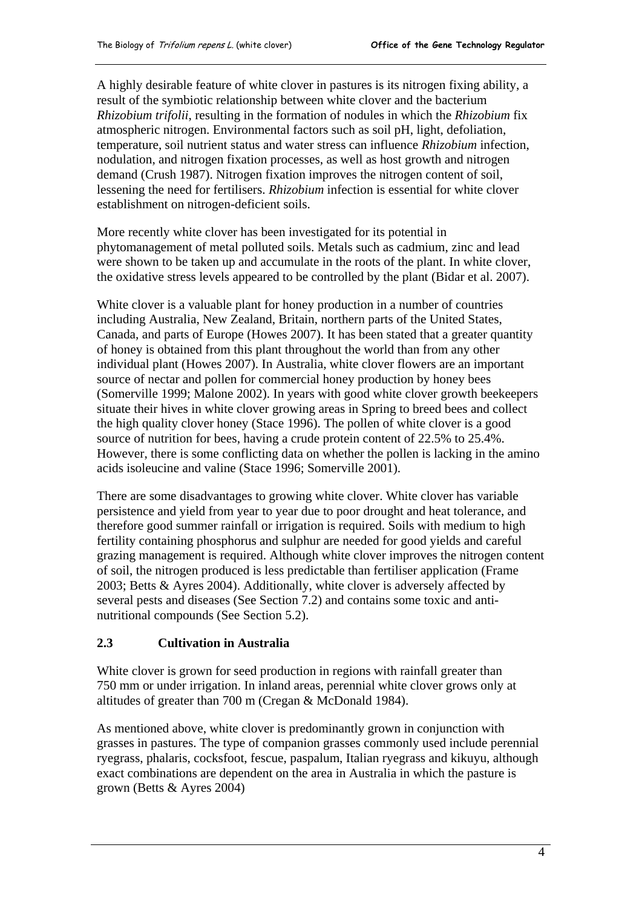<span id="page-7-0"></span>A highly desirable feature of white clover in pastures is its nitrogen fixing ability, a result of the symbiotic relationship between white clover and the bacterium *Rhizobium trifolii*, resulting in the formation of nodules in which the *Rhizobium* fix atmospheric nitrogen. Environmental factors such as soil pH, light, defoliation, temperature, soil nutrient status and water stress can influence *Rhizobium* infection, nodulation, and nitrogen fixation processes, as well as host growth and nitrogen demand (Crush 1987). Nitrogen fixation improves the nitrogen content of soil, lessening the need for fertilisers. *Rhizobium* infection is essential for white clover establishment on nitrogen-deficient soils.

More recently white clover has been investigated for its potential in phytomanagement of metal polluted soils. Metals such as cadmium, zinc and lead were shown to be taken up and accumulate in the roots of the plant. In white clover, the oxidative stress levels appeared to be controlled by the plant (Bidar et al. 2007).

White clover is a valuable plant for honey production in a number of countries including Australia, New Zealand, Britain, northern parts of the United States, Canada, and parts of Europe (Howes 2007). It has been stated that a greater quantity of honey is obtained from this plant throughout the world than from any other individual plant (Howes 2007). In Australia, white clover flowers are an important source of nectar and pollen for commercial honey production by honey bees (Somerville 1999; Malone 2002). In years with good white clover growth beekeepers situate their hives in white clover growing areas in Spring to breed bees and collect the high quality clover honey (Stace 1996). The pollen of white clover is a good source of nutrition for bees, having a crude protein content of 22.5% to 25.4%. However, there is some conflicting data on whether the pollen is lacking in the amino acids isoleucine and valine (Stace 1996; Somerville 2001).

There are some disadvantages to growing white clover. White clover has variable persistence and yield from year to year due to poor drought and heat tolerance, and therefore good summer rainfall or irrigation is required. Soils with medium to high fertility containing phosphorus and sulphur are needed for good yields and careful grazing management is required. Although white clover improves the nitrogen content of soil, the nitrogen produced is less predictable than fertiliser application (Frame 2003; Betts & Ayres 2004). Additionally, white clover is adversely affected by several pests and diseases (See Section 7.2) and contains some toxic and antinutritional compounds (See Section 5.2).

#### **2.3 Cultivation in Australia**

White clover is grown for seed production in regions with rainfall greater than 750 mm or under irrigation. In inland areas, perennial white clover grows only at altitudes of greater than 700 m (Cregan & McDonald 1984).

As mentioned above, white clover is predominantly grown in conjunction with grasses in pastures. The type of companion grasses commonly used include perennial ryegrass, phalaris, cocksfoot, fescue, paspalum, Italian ryegrass and kikuyu, although exact combinations are dependent on the area in Australia in which the pasture is grown (Betts & Ayres 2004)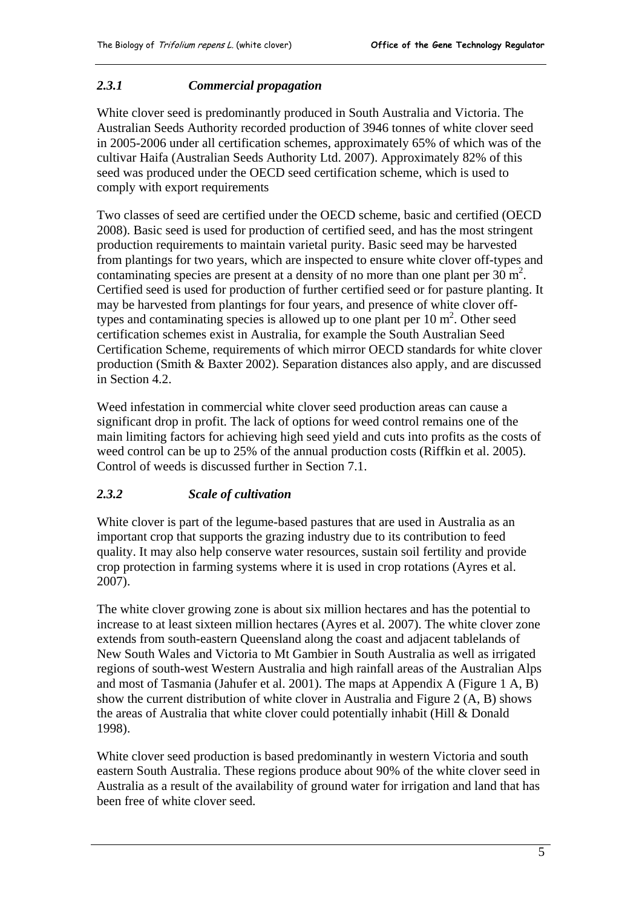#### <span id="page-8-0"></span>*2.3.1 Commercial propagation*

White clover seed is predominantly produced in South Australia and Victoria. The Australian Seeds Authority recorded production of 3946 tonnes of white clover seed in 2005-2006 under all certification schemes, approximately 65% of which was of the cultivar Haifa (Australian Seeds Authority Ltd. 2007). Approximately 82% of this seed was produced under the OECD seed certification scheme, which is used to comply with export requirements

Two classes of seed are certified under the OECD scheme, basic and certified (OECD 2008). Basic seed is used for production of certified seed, and has the most stringent production requirements to maintain varietal purity. Basic seed may be harvested from plantings for two years, which are inspected to ensure white clover off-types and contaminating species are present at a density of no more than one plant per  $30 \text{ m}^2$ . Certified seed is used for production of further certified seed or for pasture planting. It may be harvested from plantings for four years, and presence of white clover offtypes and contaminating species is allowed up to one plant per  $10 \text{ m}^2$ . Other seed certification schemes exist in Australia, for example the South Australian Seed Certification Scheme, requirements of which mirror OECD standards for white clover production (Smith & Baxter 2002). Separation distances also apply, and are discussed in Section 4.2.

Weed infestation in commercial white clover seed production areas can cause a significant drop in profit. The lack of options for weed control remains one of the main limiting factors for achieving high seed yield and cuts into profits as the costs of weed control can be up to 25% of the annual production costs (Riffkin et al. 2005). Control of weeds is discussed further in Section 7.1.

#### *2.3.2 Scale of cultivation*

White clover is part of the legume-based pastures that are used in Australia as an important crop that supports the grazing industry due to its contribution to feed quality. It may also help conserve water resources, sustain soil fertility and provide crop protection in farming systems where it is used in crop rotations (Ayres et al. 2007).

The white clover growing zone is about six million hectares and has the potential to increase to at least sixteen million hectares (Ayres et al. 2007). The white clover zone extends from south-eastern Queensland along the coast and adjacent tablelands of New South Wales and Victoria to Mt Gambier in South Australia as well as irrigated regions of south-west Western Australia and high rainfall areas of the Australian Alps and most of Tasmania (Jahufer et al. 2001). The maps at Appendix A (Figure 1 A, B) show the current distribution of white clover in Australia and Figure 2 (A, B) shows the areas of Australia that white clover could potentially inhabit (Hill & Donald 1998).

White clover seed production is based predominantly in western Victoria and south eastern South Australia. These regions produce about 90% of the white clover seed in Australia as a result of the availability of ground water for irrigation and land that has been free of white clover seed.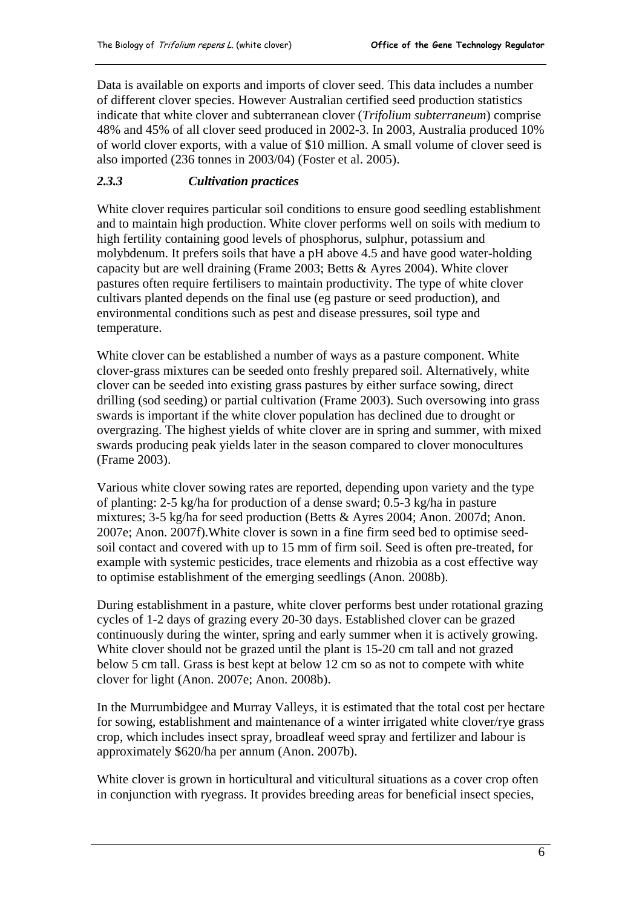<span id="page-9-0"></span>Data is available on exports and imports of clover seed. This data includes a number of different clover species. However Australian certified seed production statistics indicate that white clover and subterranean clover (*Trifolium subterraneum*) comprise 48% and 45% of all clover seed produced in 2002-3. In 2003, Australia produced 10% of world clover exports, with a value of \$10 million. A small volume of clover seed is also imported (236 tonnes in 2003/04) (Foster et al. 2005).

# *2.3.3 Cultivation practices*

White clover requires particular soil conditions to ensure good seedling establishment and to maintain high production. White clover performs well on soils with medium to high fertility containing good levels of phosphorus, sulphur, potassium and molybdenum. It prefers soils that have a pH above 4.5 and have good water-holding capacity but are well draining (Frame 2003; Betts & Ayres 2004). White clover pastures often require fertilisers to maintain productivity. The type of white clover cultivars planted depends on the final use (eg pasture or seed production), and environmental conditions such as pest and disease pressures, soil type and temperature.

White clover can be established a number of ways as a pasture component. White clover-grass mixtures can be seeded onto freshly prepared soil. Alternatively, white clover can be seeded into existing grass pastures by either surface sowing, direct drilling (sod seeding) or partial cultivation (Frame 2003). Such oversowing into grass swards is important if the white clover population has declined due to drought or overgrazing. The highest yields of white clover are in spring and summer, with mixed swards producing peak yields later in the season compared to clover monocultures (Frame 2003).

Various white clover sowing rates are reported, depending upon variety and the type of planting: 2-5 kg/ha for production of a dense sward; 0.5-3 kg/ha in pasture mixtures; 3-5 kg/ha for seed production (Betts & Ayres 2004; Anon. 2007d; Anon. 2007e; Anon. 2007f).White clover is sown in a fine firm seed bed to optimise seedsoil contact and covered with up to 15 mm of firm soil. Seed is often pre-treated, for example with systemic pesticides, trace elements and rhizobia as a cost effective way to optimise establishment of the emerging seedlings (Anon. 2008b).

During establishment in a pasture, white clover performs best under rotational grazing cycles of 1-2 days of grazing every 20-30 days. Established clover can be grazed continuously during the winter, spring and early summer when it is actively growing. White clover should not be grazed until the plant is 15-20 cm tall and not grazed below 5 cm tall. Grass is best kept at below 12 cm so as not to compete with white clover for light (Anon. 2007e; Anon. 2008b).

In the Murrumbidgee and Murray Valleys, it is estimated that the total cost per hectare for sowing, establishment and maintenance of a winter irrigated white clover/rye grass crop, which includes insect spray, broadleaf weed spray and fertilizer and labour is approximately \$620/ha per annum (Anon. 2007b).

White clover is grown in horticultural and viticultural situations as a cover crop often in conjunction with ryegrass. It provides breeding areas for beneficial insect species,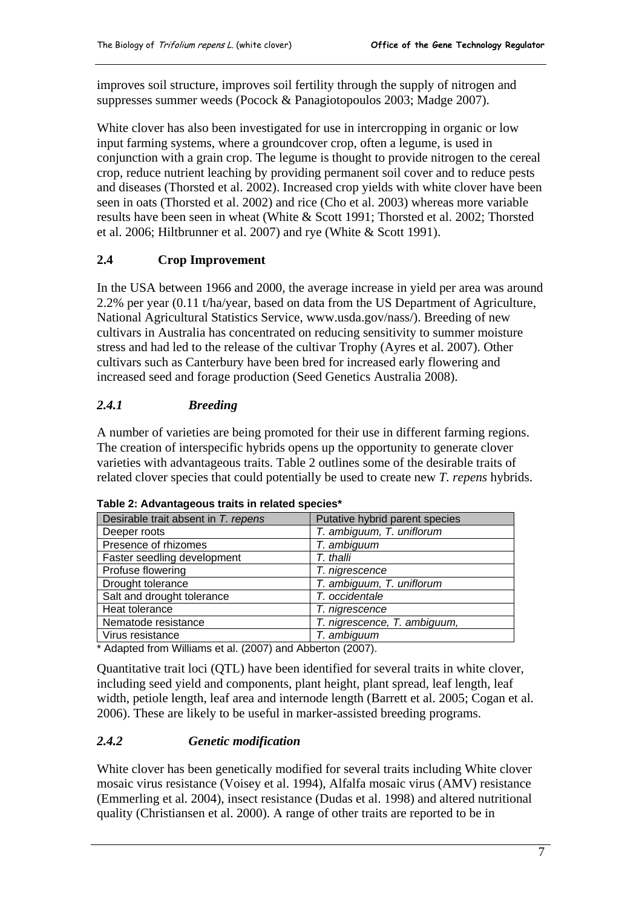<span id="page-10-0"></span>improves soil structure, improves soil fertility through the supply of nitrogen and suppresses summer weeds (Pocock & Panagiotopoulos 2003; Madge 2007).

White clover has also been investigated for use in intercropping in organic or low input farming systems, where a groundcover crop, often a legume, is used in conjunction with a grain crop. The legume is thought to provide nitrogen to the cereal crop, reduce nutrient leaching by providing permanent soil cover and to reduce pests and diseases (Thorsted et al. 2002). Increased crop yields with white clover have been seen in oats (Thorsted et al. 2002) and rice (Cho et al. 2003) whereas more variable results have been seen in wheat (White & Scott 1991; Thorsted et al. 2002; Thorsted et al. 2006; Hiltbrunner et al. 2007) and rye (White & Scott 1991).

# **2.4 Crop Improvement**

In the USA between 1966 and 2000, the average increase in yield per area was around 2.2% per year (0.11 t/ha/year, based on data from the US Department of Agriculture, National Agricultural Statistics Service, www.usda.gov/nass/). Breeding of new cultivars in Australia has concentrated on reducing sensitivity to summer moisture stress and had led to the release of the cultivar Trophy (Ayres et al. 2007). Other cultivars such as Canterbury have been bred for increased early flowering and increased seed and forage production (Seed Genetics Australia 2008).

# *2.4.1 Breeding*

A number of varieties are being promoted for their use in different farming regions. The creation of interspecific hybrids opens up the opportunity to generate clover varieties with advantageous traits. Table 2 outlines some of the desirable traits of related clover species that could potentially be used to create new *T. repens* hybrids.

| Desirable trait absent in T. repens | Putative hybrid parent species |  |
|-------------------------------------|--------------------------------|--|
| Deeper roots                        | T. ambiguum, T. uniflorum      |  |
| Presence of rhizomes                | T. ambiguum                    |  |
| Faster seedling development         | T. thalli                      |  |
| Profuse flowering                   | T. nigrescence                 |  |
| Drought tolerance                   | T. ambiguum, T. uniflorum      |  |
| Salt and drought tolerance          | T. occidentale                 |  |
| Heat tolerance                      | T. nigrescence                 |  |
| Nematode resistance                 | T. nigrescence, T. ambiguum,   |  |
| Virus resistance                    | T. ambiguum                    |  |

**Table 2: Advantageous traits in related species\*** 

\* Adapted from Williams et al. (2007) and Abberton (2007).

Quantitative trait loci (QTL) have been identified for several traits in white clover, including seed yield and components, plant height, plant spread, leaf length, leaf width, petiole length, leaf area and internode length (Barrett et al. 2005; Cogan et al. 2006). These are likely to be useful in marker-assisted breeding programs.

#### *2.4.2 Genetic modification*

White clover has been genetically modified for several traits including White clover mosaic virus resistance (Voisey et al. 1994), Alfalfa mosaic virus (AMV) resistance (Emmerling et al. 2004), insect resistance (Dudas et al. 1998) and altered nutritional quality (Christiansen et al. 2000). A range of other traits are reported to be in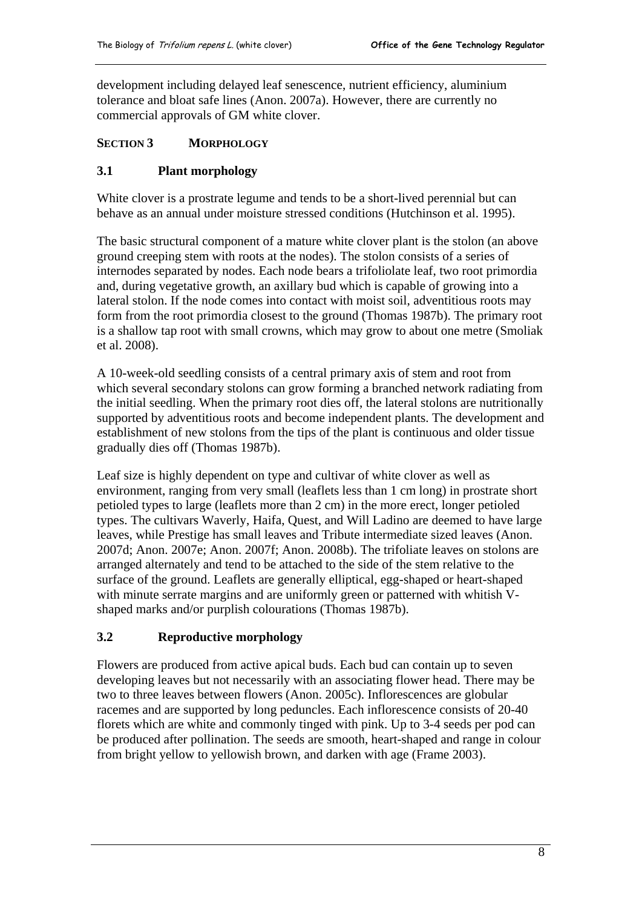<span id="page-11-0"></span>development including delayed leaf senescence, nutrient efficiency, aluminium tolerance and bloat safe lines (Anon. 2007a). However, there are currently no commercial approvals of GM white clover.

#### **SECTION 3 MORPHOLOGY**

#### **3.1 Plant morphology**

White clover is a prostrate legume and tends to be a short-lived perennial but can behave as an annual under moisture stressed conditions (Hutchinson et al. 1995).

The basic structural component of a mature white clover plant is the stolon (an above ground creeping stem with roots at the nodes). The stolon consists of a series of internodes separated by nodes. Each node bears a trifoliolate leaf, two root primordia and, during vegetative growth, an axillary bud which is capable of growing into a lateral stolon. If the node comes into contact with moist soil, adventitious roots may form from the root primordia closest to the ground (Thomas 1987b). The primary root is a shallow tap root with small crowns, which may grow to about one metre (Smoliak et al. 2008).

A 10-week-old seedling consists of a central primary axis of stem and root from which several secondary stolons can grow forming a branched network radiating from the initial seedling. When the primary root dies off, the lateral stolons are nutritionally supported by adventitious roots and become independent plants. The development and establishment of new stolons from the tips of the plant is continuous and older tissue gradually dies off (Thomas 1987b).

Leaf size is highly dependent on type and cultivar of white clover as well as environment, ranging from very small (leaflets less than 1 cm long) in prostrate short petioled types to large (leaflets more than 2 cm) in the more erect, longer petioled types. The cultivars Waverly, Haifa, Quest, and Will Ladino are deemed to have large leaves, while Prestige has small leaves and Tribute intermediate sized leaves (Anon. 2007d; Anon. 2007e; Anon. 2007f; Anon. 2008b). The trifoliate leaves on stolons are arranged alternately and tend to be attached to the side of the stem relative to the surface of the ground. Leaflets are generally elliptical, egg-shaped or heart-shaped with minute serrate margins and are uniformly green or patterned with whitish Vshaped marks and/or purplish colourations (Thomas 1987b).

#### **3.2 Reproductive morphology**

Flowers are produced from active apical buds. Each bud can contain up to seven developing leaves but not necessarily with an associating flower head. There may be two to three leaves between flowers (Anon. 2005c). Inflorescences are globular racemes and are supported by long peduncles. Each inflorescence consists of 20-40 florets which are white and commonly tinged with pink. Up to 3-4 seeds per pod can be produced after pollination. The seeds are smooth, heart-shaped and range in colour from bright yellow to yellowish brown, and darken with age (Frame 2003).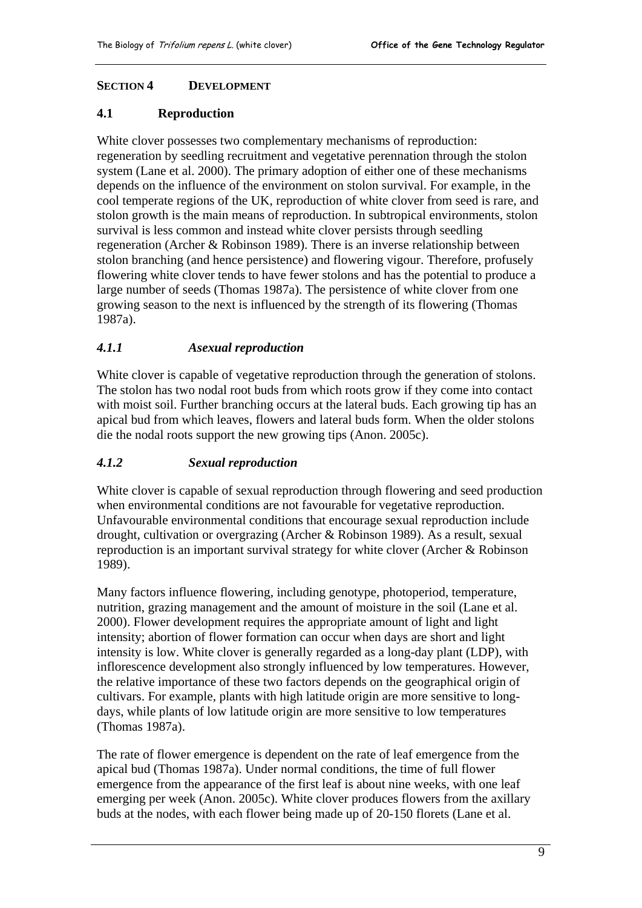#### <span id="page-12-0"></span>**SECTION 4 DEVELOPMENT**

#### **4.1 Reproduction**

White clover possesses two complementary mechanisms of reproduction: regeneration by seedling recruitment and vegetative perennation through the stolon system (Lane et al. 2000). The primary adoption of either one of these mechanisms depends on the influence of the environment on stolon survival. For example, in the cool temperate regions of the UK, reproduction of white clover from seed is rare, and stolon growth is the main means of reproduction. In subtropical environments, stolon survival is less common and instead white clover persists through seedling regeneration (Archer & Robinson 1989). There is an inverse relationship between stolon branching (and hence persistence) and flowering vigour. Therefore, profusely flowering white clover tends to have fewer stolons and has the potential to produce a large number of seeds (Thomas 1987a). The persistence of white clover from one growing season to the next is influenced by the strength of its flowering (Thomas 1987a).

# *4.1.1 Asexual reproduction*

White clover is capable of vegetative reproduction through the generation of stolons. The stolon has two nodal root buds from which roots grow if they come into contact with moist soil. Further branching occurs at the lateral buds. Each growing tip has an apical bud from which leaves, flowers and lateral buds form. When the older stolons die the nodal roots support the new growing tips (Anon. 2005c).

# *4.1.2 Sexual reproduction*

White clover is capable of sexual reproduction through flowering and seed production when environmental conditions are not favourable for vegetative reproduction. Unfavourable environmental conditions that encourage sexual reproduction include drought, cultivation or overgrazing (Archer & Robinson 1989). As a result, sexual reproduction is an important survival strategy for white clover (Archer & Robinson 1989).

Many factors influence flowering, including genotype, photoperiod, temperature, nutrition, grazing management and the amount of moisture in the soil (Lane et al. 2000). Flower development requires the appropriate amount of light and light intensity; abortion of flower formation can occur when days are short and light intensity is low. White clover is generally regarded as a long-day plant (LDP), with inflorescence development also strongly influenced by low temperatures. However, the relative importance of these two factors depends on the geographical origin of cultivars. For example, plants with high latitude origin are more sensitive to longdays, while plants of low latitude origin are more sensitive to low temperatures (Thomas 1987a).

The rate of flower emergence is dependent on the rate of leaf emergence from the apical bud (Thomas 1987a). Under normal conditions, the time of full flower emergence from the appearance of the first leaf is about nine weeks, with one leaf emerging per week (Anon. 2005c). White clover produces flowers from the axillary buds at the nodes, with each flower being made up of 20-150 florets (Lane et al.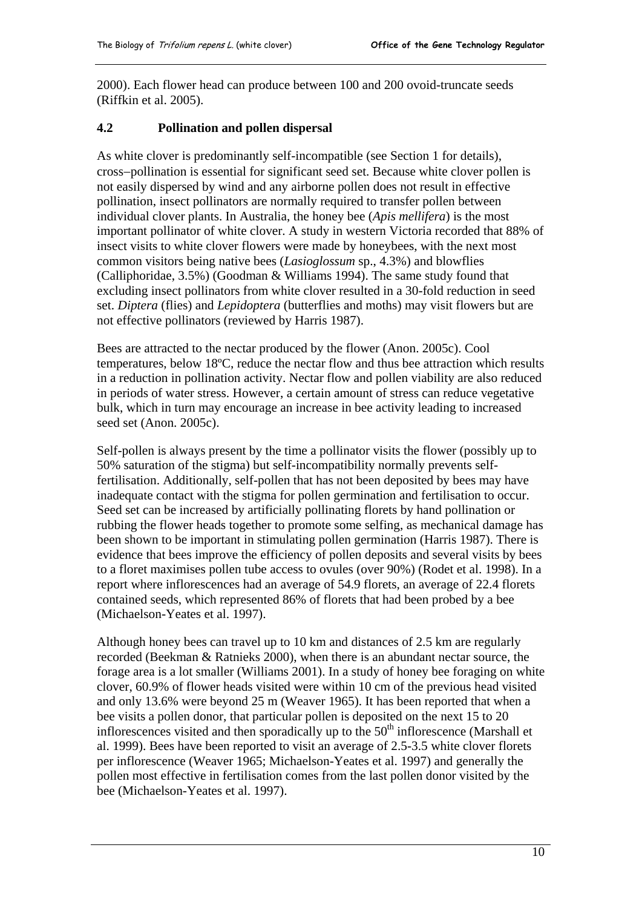<span id="page-13-0"></span>2000). Each flower head can produce between 100 and 200 ovoid-truncate seeds (Riffkin et al. 2005).

#### **4.2 Pollination and pollen dispersal**

As white clover is predominantly self-incompatible (see Section 1 for details), cross−pollination is essential for significant seed set. Because white clover pollen is not easily dispersed by wind and any airborne pollen does not result in effective pollination, insect pollinators are normally required to transfer pollen between individual clover plants. In Australia, the honey bee (*Apis mellifera*) is the most important pollinator of white clover. A study in western Victoria recorded that 88% of insect visits to white clover flowers were made by honeybees, with the next most common visitors being native bees (*Lasioglossum* sp., 4.3%) and blowflies (Calliphoridae, 3.5%) (Goodman & Williams 1994). The same study found that excluding insect pollinators from white clover resulted in a 30-fold reduction in seed set. *Diptera* (flies) and *Lepidoptera* (butterflies and moths) may visit flowers but are not effective pollinators (reviewed by Harris 1987).

Bees are attracted to the nectar produced by the flower (Anon. 2005c). Cool temperatures, below 18ºC, reduce the nectar flow and thus bee attraction which results in a reduction in pollination activity. Nectar flow and pollen viability are also reduced in periods of water stress. However, a certain amount of stress can reduce vegetative bulk, which in turn may encourage an increase in bee activity leading to increased seed set (Anon. 2005c).

Self-pollen is always present by the time a pollinator visits the flower (possibly up to 50% saturation of the stigma) but self-incompatibility normally prevents selffertilisation. Additionally, self-pollen that has not been deposited by bees may have inadequate contact with the stigma for pollen germination and fertilisation to occur. Seed set can be increased by artificially pollinating florets by hand pollination or rubbing the flower heads together to promote some selfing, as mechanical damage has been shown to be important in stimulating pollen germination (Harris 1987). There is evidence that bees improve the efficiency of pollen deposits and several visits by bees to a floret maximises pollen tube access to ovules (over 90%) (Rodet et al. 1998). In a report where inflorescences had an average of 54.9 florets, an average of 22.4 florets contained seeds, which represented 86% of florets that had been probed by a bee (Michaelson-Yeates et al. 1997).

Although honey bees can travel up to 10 km and distances of 2.5 km are regularly recorded (Beekman & Ratnieks 2000), when there is an abundant nectar source, the forage area is a lot smaller (Williams 2001). In a study of honey bee foraging on white clover, 60.9% of flower heads visited were within 10 cm of the previous head visited and only 13.6% were beyond 25 m (Weaver 1965). It has been reported that when a bee visits a pollen donor, that particular pollen is deposited on the next 15 to 20 inflorescences visited and then sporadically up to the  $50<sup>th</sup>$  inflorescence (Marshall et al. 1999). Bees have been reported to visit an average of 2.5-3.5 white clover florets per inflorescence (Weaver 1965; Michaelson-Yeates et al. 1997) and generally the pollen most effective in fertilisation comes from the last pollen donor visited by the bee (Michaelson-Yeates et al. 1997).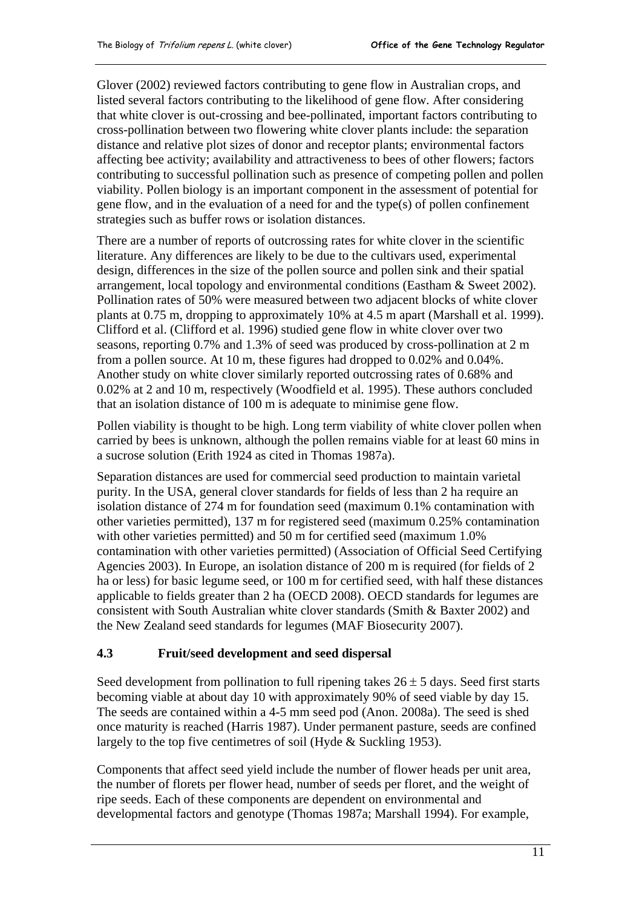<span id="page-14-0"></span>Glover (2002) reviewed factors contributing to gene flow in Australian crops, and listed several factors contributing to the likelihood of gene flow. After considering that white clover is out-crossing and bee-pollinated, important factors contributing to cross-pollination between two flowering white clover plants include: the separation distance and relative plot sizes of donor and receptor plants; environmental factors affecting bee activity; availability and attractiveness to bees of other flowers; factors contributing to successful pollination such as presence of competing pollen and pollen viability. Pollen biology is an important component in the assessment of potential for gene flow, and in the evaluation of a need for and the type(s) of pollen confinement strategies such as buffer rows or isolation distances.

There are a number of reports of outcrossing rates for white clover in the scientific literature. Any differences are likely to be due to the cultivars used, experimental design, differences in the size of the pollen source and pollen sink and their spatial arrangement, local topology and environmental conditions (Eastham & Sweet 2002). Pollination rates of 50% were measured between two adjacent blocks of white clover plants at 0.75 m, dropping to approximately 10% at 4.5 m apart (Marshall et al. 1999). Clifford et al. (Clifford et al. 1996) studied gene flow in white clover over two seasons, reporting 0.7% and 1.3% of seed was produced by cross-pollination at 2 m from a pollen source. At 10 m, these figures had dropped to 0.02% and 0.04%. Another study on white clover similarly reported outcrossing rates of 0.68% and 0.02% at 2 and 10 m, respectively (Woodfield et al. 1995). These authors concluded that an isolation distance of 100 m is adequate to minimise gene flow.

Pollen viability is thought to be high. Long term viability of white clover pollen when carried by bees is unknown, although the pollen remains viable for at least 60 mins in a sucrose solution (Erith 1924 as cited in Thomas 1987a).

Separation distances are used for commercial seed production to maintain varietal purity. In the USA, general clover standards for fields of less than 2 ha require an isolation distance of 274 m for foundation seed (maximum 0.1% contamination with other varieties permitted), 137 m for registered seed (maximum 0.25% contamination with other varieties permitted) and 50 m for certified seed (maximum 1.0% contamination with other varieties permitted) (Association of Official Seed Certifying Agencies 2003). In Europe, an isolation distance of 200 m is required (for fields of 2 ha or less) for basic legume seed, or 100 m for certified seed, with half these distances applicable to fields greater than 2 ha (OECD 2008). OECD standards for legumes are consistent with South Australian white clover standards (Smith & Baxter 2002) and the New Zealand seed standards for legumes (MAF Biosecurity 2007).

#### **4.3 Fruit/seed development and seed dispersal**

Seed development from pollination to full ripening takes  $26 \pm 5$  days. Seed first starts becoming viable at about day 10 with approximately 90% of seed viable by day 15. The seeds are contained within a 4-5 mm seed pod (Anon. 2008a). The seed is shed once maturity is reached (Harris 1987). Under permanent pasture, seeds are confined largely to the top five centimetres of soil (Hyde & Suckling 1953).

Components that affect seed yield include the number of flower heads per unit area, the number of florets per flower head, number of seeds per floret, and the weight of ripe seeds. Each of these components are dependent on environmental and developmental factors and genotype (Thomas 1987a; Marshall 1994). For example,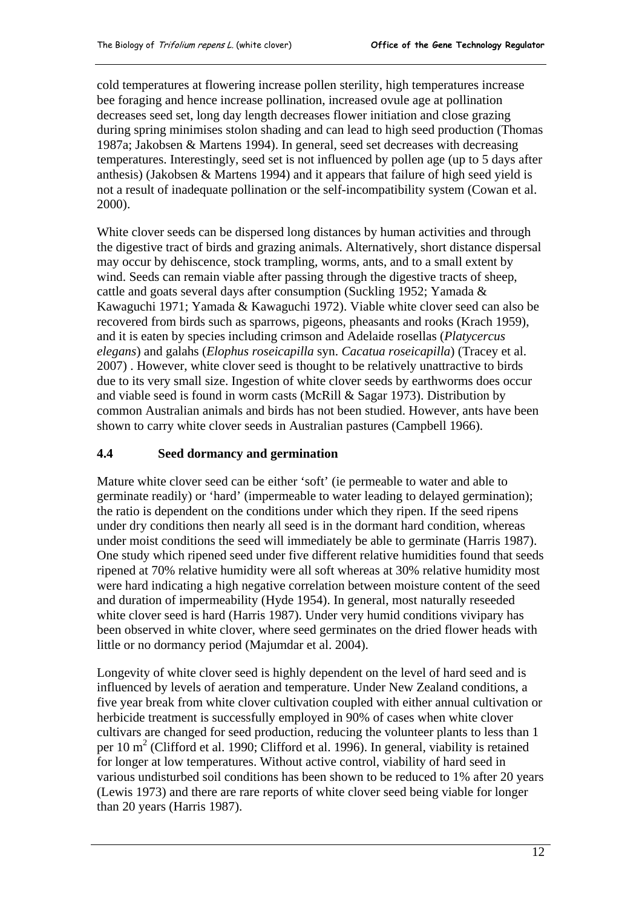<span id="page-15-0"></span>cold temperatures at flowering increase pollen sterility, high temperatures increase bee foraging and hence increase pollination, increased ovule age at pollination decreases seed set, long day length decreases flower initiation and close grazing during spring minimises stolon shading and can lead to high seed production (Thomas 1987a; Jakobsen & Martens 1994). In general, seed set decreases with decreasing temperatures. Interestingly, seed set is not influenced by pollen age (up to 5 days after anthesis) (Jakobsen & Martens 1994) and it appears that failure of high seed yield is not a result of inadequate pollination or the self-incompatibility system (Cowan et al. 2000).

White clover seeds can be dispersed long distances by human activities and through the digestive tract of birds and grazing animals. Alternatively, short distance dispersal may occur by dehiscence, stock trampling, worms, ants, and to a small extent by wind. Seeds can remain viable after passing through the digestive tracts of sheep, cattle and goats several days after consumption (Suckling 1952; Yamada & Kawaguchi 1971; Yamada & Kawaguchi 1972). Viable white clover seed can also be recovered from birds such as sparrows, pigeons, pheasants and rooks (Krach 1959), and it is eaten by species including crimson and Adelaide rosellas (*Platycercus elegans*) and galahs (*Elophus roseicapilla* syn. *Cacatua roseicapilla*) (Tracey et al. 2007) . However, white clover seed is thought to be relatively unattractive to birds due to its very small size. Ingestion of white clover seeds by earthworms does occur and viable seed is found in worm casts (McRill & Sagar 1973). Distribution by common Australian animals and birds has not been studied. However, ants have been shown to carry white clover seeds in Australian pastures (Campbell 1966).

#### **4.4 Seed dormancy and germination**

Mature white clover seed can be either 'soft' (ie permeable to water and able to germinate readily) or 'hard' (impermeable to water leading to delayed germination); the ratio is dependent on the conditions under which they ripen. If the seed ripens under dry conditions then nearly all seed is in the dormant hard condition, whereas under moist conditions the seed will immediately be able to germinate (Harris 1987). One study which ripened seed under five different relative humidities found that seeds ripened at 70% relative humidity were all soft whereas at 30% relative humidity most were hard indicating a high negative correlation between moisture content of the seed and duration of impermeability (Hyde 1954). In general, most naturally reseeded white clover seed is hard (Harris 1987). Under very humid conditions vivipary has been observed in white clover, where seed germinates on the dried flower heads with little or no dormancy period (Majumdar et al. 2004).

Longevity of white clover seed is highly dependent on the level of hard seed and is influenced by levels of aeration and temperature. Under New Zealand conditions, a five year break from white clover cultivation coupled with either annual cultivation or herbicide treatment is successfully employed in 90% of cases when white clover cultivars are changed for seed production, reducing the volunteer plants to less than 1 per 10 m<sup>2</sup> (Clifford et al. 1990; Clifford et al. 1996). In general, viability is retained for longer at low temperatures. Without active control, viability of hard seed in various undisturbed soil conditions has been shown to be reduced to 1% after 20 years (Lewis 1973) and there are rare reports of white clover seed being viable for longer than 20 years (Harris 1987).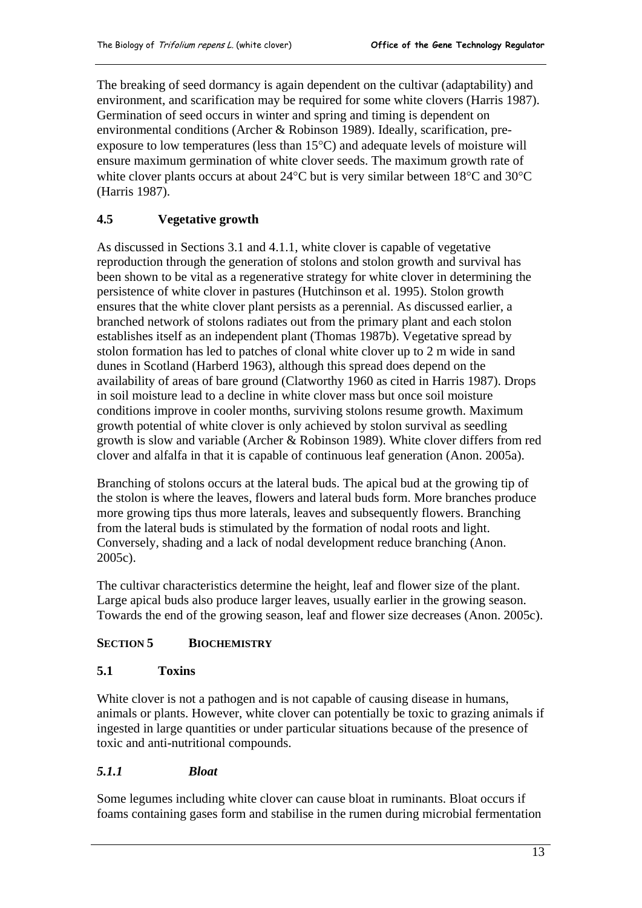<span id="page-16-0"></span>The breaking of seed dormancy is again dependent on the cultivar (adaptability) and environment, and scarification may be required for some white clovers (Harris 1987). Germination of seed occurs in winter and spring and timing is dependent on environmental conditions (Archer & Robinson 1989). Ideally, scarification, preexposure to low temperatures (less than 15°C) and adequate levels of moisture will ensure maximum germination of white clover seeds. The maximum growth rate of white clover plants occurs at about 24°C but is very similar between 18°C and 30°C (Harris 1987).

# **4.5 Vegetative growth**

As discussed in Sections 3.1 and 4.1.1, white clover is capable of vegetative reproduction through the generation of stolons and stolon growth and survival has been shown to be vital as a regenerative strategy for white clover in determining the persistence of white clover in pastures (Hutchinson et al. 1995). Stolon growth ensures that the white clover plant persists as a perennial. As discussed earlier, a branched network of stolons radiates out from the primary plant and each stolon establishes itself as an independent plant (Thomas 1987b). Vegetative spread by stolon formation has led to patches of clonal white clover up to 2 m wide in sand dunes in Scotland (Harberd 1963), although this spread does depend on the availability of areas of bare ground (Clatworthy 1960 as cited in Harris 1987). Drops in soil moisture lead to a decline in white clover mass but once soil moisture conditions improve in cooler months, surviving stolons resume growth. Maximum growth potential of white clover is only achieved by stolon survival as seedling growth is slow and variable (Archer & Robinson 1989). White clover differs from red clover and alfalfa in that it is capable of continuous leaf generation (Anon. 2005a).

Branching of stolons occurs at the lateral buds. The apical bud at the growing tip of the stolon is where the leaves, flowers and lateral buds form. More branches produce more growing tips thus more laterals, leaves and subsequently flowers. Branching from the lateral buds is stimulated by the formation of nodal roots and light. Conversely, shading and a lack of nodal development reduce branching (Anon. 2005c).

The cultivar characteristics determine the height, leaf and flower size of the plant. Large apical buds also produce larger leaves, usually earlier in the growing season. Towards the end of the growing season, leaf and flower size decreases (Anon. 2005c).

# **SECTION 5 BIOCHEMISTRY**

#### **5.1 Toxins**

White clover is not a pathogen and is not capable of causing disease in humans, animals or plants. However, white clover can potentially be toxic to grazing animals if ingested in large quantities or under particular situations because of the presence of toxic and anti-nutritional compounds.

# *5.1.1 Bloat*

Some legumes including white clover can cause bloat in ruminants. Bloat occurs if foams containing gases form and stabilise in the rumen during microbial fermentation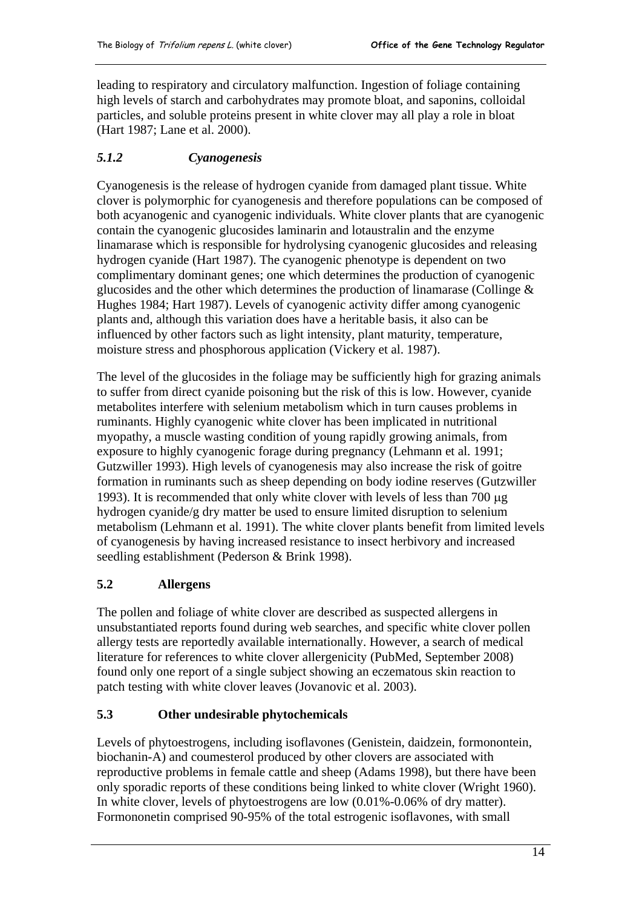<span id="page-17-0"></span>leading to respiratory and circulatory malfunction. Ingestion of foliage containing high levels of starch and carbohydrates may promote bloat, and saponins, colloidal particles, and soluble proteins present in white clover may all play a role in bloat (Hart 1987; Lane et al. 2000).

# *5.1.2 Cyanogenesis*

Cyanogenesis is the release of hydrogen cyanide from damaged plant tissue. White clover is polymorphic for cyanogenesis and therefore populations can be composed of both acyanogenic and cyanogenic individuals. White clover plants that are cyanogenic contain the cyanogenic glucosides laminarin and lotaustralin and the enzyme linamarase which is responsible for hydrolysing cyanogenic glucosides and releasing hydrogen cyanide (Hart 1987). The cyanogenic phenotype is dependent on two complimentary dominant genes; one which determines the production of cyanogenic glucosides and the other which determines the production of linamarase (Collinge & Hughes 1984; Hart 1987). Levels of cyanogenic activity differ among cyanogenic plants and, although this variation does have a heritable basis, it also can be influenced by other factors such as light intensity, plant maturity, temperature, moisture stress and phosphorous application (Vickery et al. 1987).

The level of the glucosides in the foliage may be sufficiently high for grazing animals to suffer from direct cyanide poisoning but the risk of this is low. However, cyanide metabolites interfere with selenium metabolism which in turn causes problems in ruminants. Highly cyanogenic white clover has been implicated in nutritional myopathy, a muscle wasting condition of young rapidly growing animals, from exposure to highly cyanogenic forage during pregnancy (Lehmann et al. 1991; Gutzwiller 1993). High levels of cyanogenesis may also increase the risk of goitre formation in ruminants such as sheep depending on body iodine reserves (Gutzwiller 1993). It is recommended that only white clover with levels of less than 700 μg hydrogen cyanide/g dry matter be used to ensure limited disruption to selenium metabolism (Lehmann et al. 1991). The white clover plants benefit from limited levels of cyanogenesis by having increased resistance to insect herbivory and increased seedling establishment (Pederson & Brink 1998).

# **5.2 Allergens**

The pollen and foliage of white clover are described as suspected allergens in unsubstantiated reports found during web searches, and specific white clover pollen allergy tests are reportedly available internationally. However, a search of medical literature for references to white clover allergenicity (PubMed, September 2008) found only one report of a single subject showing an eczematous skin reaction to patch testing with white clover leaves (Jovanovic et al. 2003).

#### **5.3 Other undesirable phytochemicals**

Levels of phytoestrogens, including isoflavones (Genistein, daidzein, formonontein, biochanin-A) and coumesterol produced by other clovers are associated with reproductive problems in female cattle and sheep (Adams 1998), but there have been only sporadic reports of these conditions being linked to white clover (Wright 1960). In white clover, levels of phytoestrogens are low (0.01%-0.06% of dry matter). Formononetin comprised 90-95% of the total estrogenic isoflavones, with small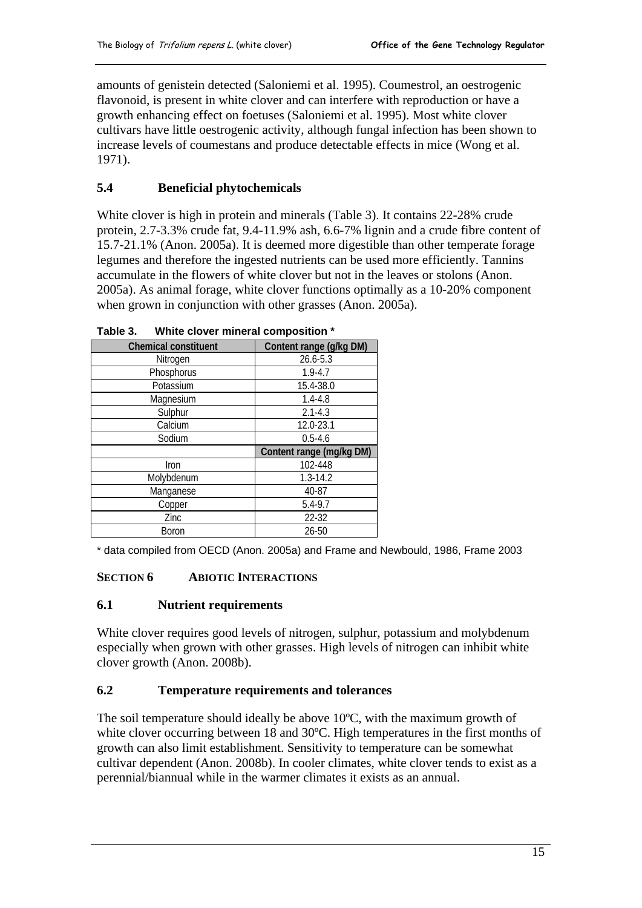<span id="page-18-0"></span>amounts of genistein detected (Saloniemi et al. 1995). Coumestrol, an oestrogenic flavonoid, is present in white clover and can interfere with reproduction or have a growth enhancing effect on foetuses (Saloniemi et al. 1995). Most white clover cultivars have little oestrogenic activity, although fungal infection has been shown to increase levels of coumestans and produce detectable effects in mice (Wong et al. 1971).

# **5.4 Beneficial phytochemicals**

White clover is high in protein and minerals (Table 3). It contains 22-28% crude protein, 2.7-3.3% crude fat, 9.4-11.9% ash, 6.6-7% lignin and a crude fibre content of 15.7-21.1% (Anon. 2005a). It is deemed more digestible than other temperate forage legumes and therefore the ingested nutrients can be used more efficiently. Tannins accumulate in the flowers of white clover but not in the leaves or stolons (Anon. 2005a). As animal forage, white clover functions optimally as a 10-20% component when grown in conjunction with other grasses (Anon. 2005a).

| <b>Chemical constituent</b> | Content range (g/kg DM)  |
|-----------------------------|--------------------------|
| Nitrogen                    | 26.6-5.3                 |
| Phosphorus                  | $1.9 - 4.7$              |
| Potassium                   | 15.4-38.0                |
| Magnesium                   | $1.4 - 4.8$              |
| Sulphur                     | $2.1 - 4.3$              |
| Calcium                     | 12.0-23.1                |
| Sodium                      | $0.5 - 4.6$              |
|                             | Content range (mg/kg DM) |
| Iron                        | 102-448                  |
| Molybdenum                  | $1.3 - 14.2$             |
| Manganese                   | 40-87                    |
| Copper                      | $5.4 - 9.7$              |
| Zinc                        | 22-32                    |
| Boron                       | $26 - 50$                |

**Table 3. White clover mineral composition \*** 

\* data compiled from OECD (Anon. 2005a) and Frame and Newbould, 1986, Frame 2003

#### **SECTION 6 ABIOTIC INTERACTIONS**

#### **6.1 Nutrient requirements**

White clover requires good levels of nitrogen, sulphur, potassium and molybdenum especially when grown with other grasses. High levels of nitrogen can inhibit white clover growth (Anon. 2008b).

#### **6.2 Temperature requirements and tolerances**

The soil temperature should ideally be above 10ºC, with the maximum growth of white clover occurring between 18 and 30ºC. High temperatures in the first months of growth can also limit establishment. Sensitivity to temperature can be somewhat cultivar dependent (Anon. 2008b). In cooler climates, white clover tends to exist as a perennial/biannual while in the warmer climates it exists as an annual.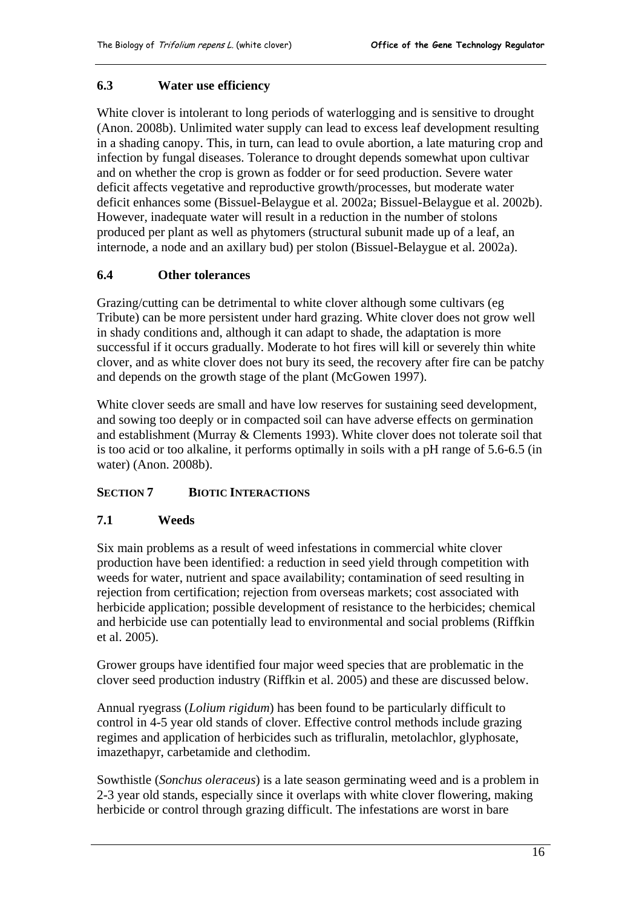#### <span id="page-19-0"></span>**6.3 Water use efficiency**

White clover is intolerant to long periods of waterlogging and is sensitive to drought (Anon. 2008b). Unlimited water supply can lead to excess leaf development resulting in a shading canopy. This, in turn, can lead to ovule abortion, a late maturing crop and infection by fungal diseases. Tolerance to drought depends somewhat upon cultivar and on whether the crop is grown as fodder or for seed production. Severe water deficit affects vegetative and reproductive growth/processes, but moderate water deficit enhances some (Bissuel-Belaygue et al. 2002a; Bissuel-Belaygue et al. 2002b). However, inadequate water will result in a reduction in the number of stolons produced per plant as well as phytomers (structural subunit made up of a leaf, an internode, a node and an axillary bud) per stolon (Bissuel-Belaygue et al. 2002a).

#### **6.4 Other tolerances**

Grazing/cutting can be detrimental to white clover although some cultivars (eg Tribute) can be more persistent under hard grazing. White clover does not grow well in shady conditions and, although it can adapt to shade, the adaptation is more successful if it occurs gradually. Moderate to hot fires will kill or severely thin white clover, and as white clover does not bury its seed, the recovery after fire can be patchy and depends on the growth stage of the plant (McGowen 1997).

White clover seeds are small and have low reserves for sustaining seed development, and sowing too deeply or in compacted soil can have adverse effects on germination and establishment (Murray & Clements 1993). White clover does not tolerate soil that is too acid or too alkaline, it performs optimally in soils with a pH range of 5.6-6.5 (in water) (Anon. 2008b).

#### **SECTION 7 BIOTIC INTERACTIONS**

#### **7.1 Weeds**

Six main problems as a result of weed infestations in commercial white clover production have been identified: a reduction in seed yield through competition with weeds for water, nutrient and space availability; contamination of seed resulting in rejection from certification; rejection from overseas markets; cost associated with herbicide application; possible development of resistance to the herbicides; chemical and herbicide use can potentially lead to environmental and social problems (Riffkin et al. 2005).

Grower groups have identified four major weed species that are problematic in the clover seed production industry (Riffkin et al. 2005) and these are discussed below.

Annual ryegrass (*Lolium rigidum*) has been found to be particularly difficult to control in 4-5 year old stands of clover. Effective control methods include grazing regimes and application of herbicides such as trifluralin, metolachlor, glyphosate, imazethapyr, carbetamide and clethodim.

Sowthistle (*Sonchus oleraceus*) is a late season germinating weed and is a problem in 2-3 year old stands, especially since it overlaps with white clover flowering, making herbicide or control through grazing difficult. The infestations are worst in bare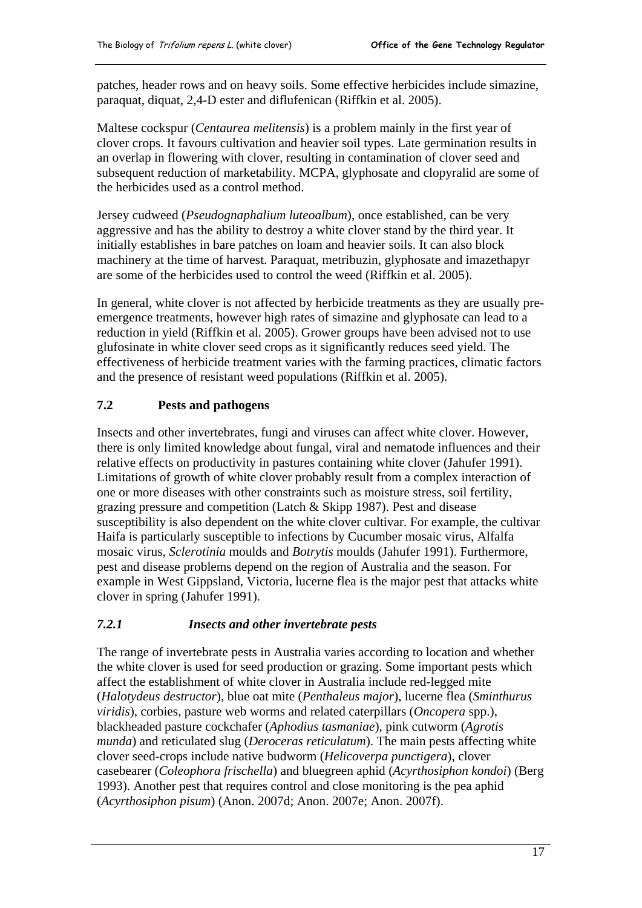<span id="page-20-0"></span>patches, header rows and on heavy soils. Some effective herbicides include simazine, paraquat, diquat, 2,4-D ester and diflufenican (Riffkin et al. 2005).

Maltese cockspur (*Centaurea melitensis*) is a problem mainly in the first year of clover crops. It favours cultivation and heavier soil types. Late germination results in an overlap in flowering with clover, resulting in contamination of clover seed and subsequent reduction of marketability. MCPA, glyphosate and clopyralid are some of the herbicides used as a control method.

Jersey cudweed (*Pseudognaphalium luteoalbum*), once established, can be very aggressive and has the ability to destroy a white clover stand by the third year. It initially establishes in bare patches on loam and heavier soils. It can also block machinery at the time of harvest. Paraquat, metribuzin, glyphosate and imazethapyr are some of the herbicides used to control the weed (Riffkin et al. 2005).

In general, white clover is not affected by herbicide treatments as they are usually preemergence treatments, however high rates of simazine and glyphosate can lead to a reduction in yield (Riffkin et al. 2005). Grower groups have been advised not to use glufosinate in white clover seed crops as it significantly reduces seed yield. The effectiveness of herbicide treatment varies with the farming practices, climatic factors and the presence of resistant weed populations (Riffkin et al. 2005).

# **7.2 Pests and pathogens**

Insects and other invertebrates, fungi and viruses can affect white clover. However, there is only limited knowledge about fungal, viral and nematode influences and their relative effects on productivity in pastures containing white clover (Jahufer 1991). Limitations of growth of white clover probably result from a complex interaction of one or more diseases with other constraints such as moisture stress, soil fertility, grazing pressure and competition (Latch & Skipp 1987). Pest and disease susceptibility is also dependent on the white clover cultivar. For example, the cultivar Haifa is particularly susceptible to infections by Cucumber mosaic virus, Alfalfa mosaic virus, *Sclerotinia* moulds and *Botrytis* moulds (Jahufer 1991). Furthermore, pest and disease problems depend on the region of Australia and the season. For example in West Gippsland, Victoria, lucerne flea is the major pest that attacks white clover in spring (Jahufer 1991).

#### *7.2.1 Insects and other invertebrate pests*

The range of invertebrate pests in Australia varies according to location and whether the white clover is used for seed production or grazing. Some important pests which affect the establishment of white clover in Australia include red-legged mite (*Halotydeus destructor*), blue oat mite (*Penthaleus major*), lucerne flea (*Sminthurus viridis*), corbies, pasture web worms and related caterpillars (*Oncopera* spp.), blackheaded pasture cockchafer (*Aphodius tasmaniae*), pink cutworm (*Agrotis munda*) and reticulated slug (*Deroceras reticulatum*). The main pests affecting white clover seed-crops include native budworm (*Helicoverpa punctigera*), clover casebearer (*Coleophora frischella*) and bluegreen aphid (*Acyrthosiphon kondoi*) (Berg 1993). Another pest that requires control and close monitoring is the pea aphid (*Acyrthosiphon pisum*) (Anon. 2007d; Anon. 2007e; Anon. 2007f).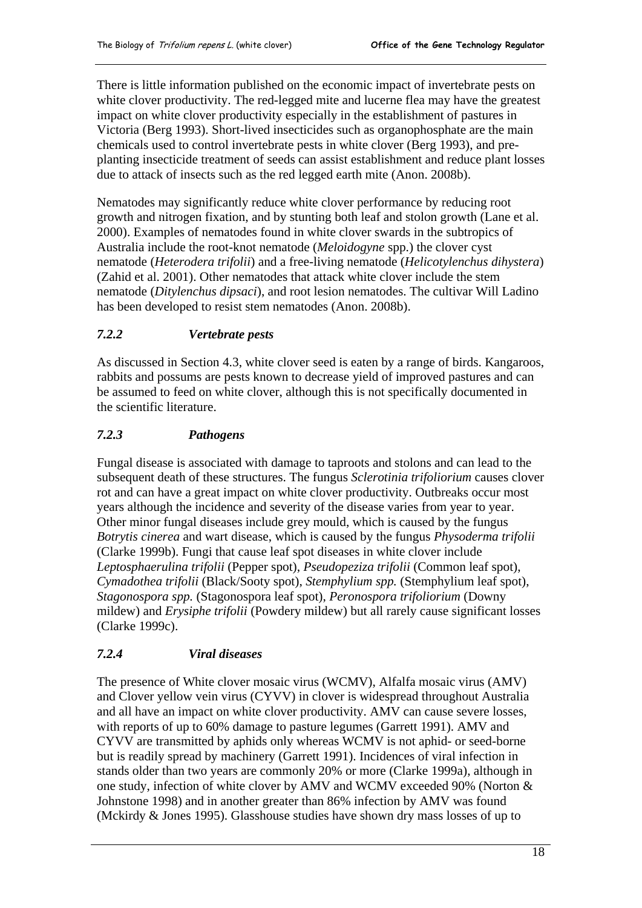<span id="page-21-0"></span>There is little information published on the economic impact of invertebrate pests on white clover productivity. The red-legged mite and lucerne flea may have the greatest impact on white clover productivity especially in the establishment of pastures in Victoria (Berg 1993). Short-lived insecticides such as organophosphate are the main chemicals used to control invertebrate pests in white clover (Berg 1993), and preplanting insecticide treatment of seeds can assist establishment and reduce plant losses due to attack of insects such as the red legged earth mite (Anon. 2008b).

Nematodes may significantly reduce white clover performance by reducing root growth and nitrogen fixation, and by stunting both leaf and stolon growth (Lane et al. 2000). Examples of nematodes found in white clover swards in the subtropics of Australia include the root-knot nematode (*Meloidogyne* spp.) the clover cyst nematode (*Heterodera trifolii*) and a free-living nematode (*Helicotylenchus dihystera*) (Zahid et al. 2001). Other nematodes that attack white clover include the stem nematode (*Ditylenchus dipsaci*), and root lesion nematodes. The cultivar Will Ladino has been developed to resist stem nematodes (Anon. 2008b).

# *7.2.2 Vertebrate pests*

As discussed in Section 4.3, white clover seed is eaten by a range of birds. Kangaroos, rabbits and possums are pests known to decrease yield of improved pastures and can be assumed to feed on white clover, although this is not specifically documented in the scientific literature.

# *7.2.3 Pathogens*

Fungal disease is associated with damage to taproots and stolons and can lead to the subsequent death of these structures. The fungus *Sclerotinia trifoliorium* causes clover rot and can have a great impact on white clover productivity. Outbreaks occur most years although the incidence and severity of the disease varies from year to year. Other minor fungal diseases include grey mould, which is caused by the fungus *Botrytis cinerea* and wart disease, which is caused by the fungus *Physoderma trifolii* (Clarke 1999b). Fungi that cause leaf spot diseases in white clover include *Leptosphaerulina trifolii* (Pepper spot), *Pseudopeziza trifolii* (Common leaf spot), *Cymadothea trifolii* (Black/Sooty spot), *Stemphylium spp.* (Stemphylium leaf spot), *Stagonospora spp.* (Stagonospora leaf spot), *Peronospora trifoliorium* (Downy mildew) and *Erysiphe trifolii* (Powdery mildew) but all rarely cause significant losses (Clarke 1999c).

# *7.2.4 Viral diseases*

The presence of White clover mosaic virus (WCMV), Alfalfa mosaic virus (AMV) and Clover yellow vein virus (CYVV) in clover is widespread throughout Australia and all have an impact on white clover productivity. AMV can cause severe losses, with reports of up to 60% damage to pasture legumes (Garrett 1991). AMV and CYVV are transmitted by aphids only whereas WCMV is not aphid- or seed-borne but is readily spread by machinery (Garrett 1991). Incidences of viral infection in stands older than two years are commonly 20% or more (Clarke 1999a), although in one study, infection of white clover by AMV and WCMV exceeded 90% (Norton & Johnstone 1998) and in another greater than 86% infection by AMV was found (Mckirdy & Jones 1995). Glasshouse studies have shown dry mass losses of up to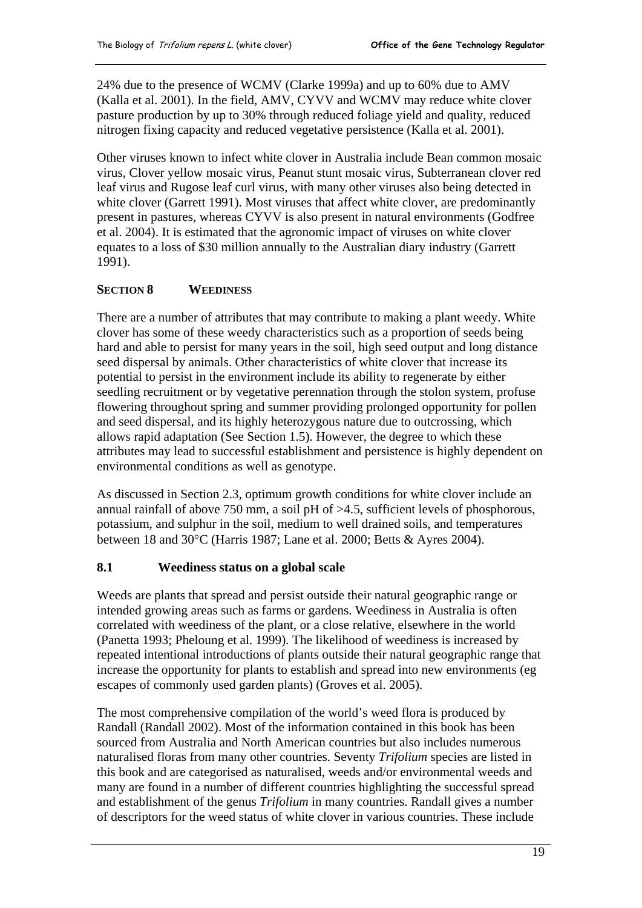<span id="page-22-0"></span>24% due to the presence of WCMV (Clarke 1999a) and up to 60% due to AMV (Kalla et al. 2001). In the field, AMV, CYVV and WCMV may reduce white clover pasture production by up to 30% through reduced foliage yield and quality, reduced nitrogen fixing capacity and reduced vegetative persistence (Kalla et al. 2001).

Other viruses known to infect white clover in Australia include Bean common mosaic virus, Clover yellow mosaic virus, Peanut stunt mosaic virus, Subterranean clover red leaf virus and Rugose leaf curl virus, with many other viruses also being detected in white clover (Garrett 1991). Most viruses that affect white clover, are predominantly present in pastures, whereas CYVV is also present in natural environments (Godfree et al. 2004). It is estimated that the agronomic impact of viruses on white clover equates to a loss of \$30 million annually to the Australian diary industry (Garrett 1991).

# **SECTION 8 WEEDINESS**

There are a number of attributes that may contribute to making a plant weedy. White clover has some of these weedy characteristics such as a proportion of seeds being hard and able to persist for many years in the soil, high seed output and long distance seed dispersal by animals. Other characteristics of white clover that increase its potential to persist in the environment include its ability to regenerate by either seedling recruitment or by vegetative perennation through the stolon system, profuse flowering throughout spring and summer providing prolonged opportunity for pollen and seed dispersal, and its highly heterozygous nature due to outcrossing, which allows rapid adaptation (See Section 1.5). However, the degree to which these attributes may lead to successful establishment and persistence is highly dependent on environmental conditions as well as genotype.

As discussed in Section 2.3, optimum growth conditions for white clover include an annual rainfall of above 750 mm, a soil pH of >4.5, sufficient levels of phosphorous, potassium, and sulphur in the soil, medium to well drained soils, and temperatures between 18 and 30°C (Harris 1987; Lane et al. 2000; Betts & Ayres 2004).

# **8.1 Weediness status on a global scale**

Weeds are plants that spread and persist outside their natural geographic range or intended growing areas such as farms or gardens. Weediness in Australia is often correlated with weediness of the plant, or a close relative, elsewhere in the world (Panetta 1993; Pheloung et al. 1999). The likelihood of weediness is increased by repeated intentional introductions of plants outside their natural geographic range that increase the opportunity for plants to establish and spread into new environments (eg escapes of commonly used garden plants) (Groves et al. 2005).

The most comprehensive compilation of the world's weed flora is produced by Randall (Randall 2002). Most of the information contained in this book has been sourced from Australia and North American countries but also includes numerous naturalised floras from many other countries. Seventy *Trifolium* species are listed in this book and are categorised as naturalised, weeds and/or environmental weeds and many are found in a number of different countries highlighting the successful spread and establishment of the genus *Trifolium* in many countries. Randall gives a number of descriptors for the weed status of white clover in various countries. These include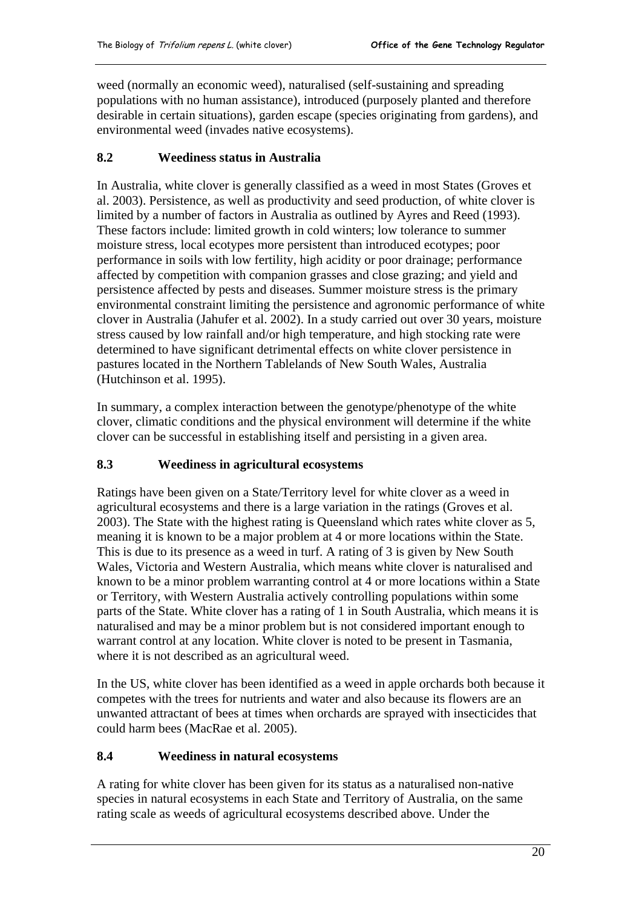<span id="page-23-0"></span>weed (normally an economic weed), naturalised (self-sustaining and spreading populations with no human assistance), introduced (purposely planted and therefore desirable in certain situations), garden escape (species originating from gardens), and environmental weed (invades native ecosystems).

# **8.2 Weediness status in Australia**

In Australia, white clover is generally classified as a weed in most States (Groves et al. 2003). Persistence, as well as productivity and seed production, of white clover is limited by a number of factors in Australia as outlined by Ayres and Reed (1993). These factors include: limited growth in cold winters; low tolerance to summer moisture stress, local ecotypes more persistent than introduced ecotypes; poor performance in soils with low fertility, high acidity or poor drainage; performance affected by competition with companion grasses and close grazing; and yield and persistence affected by pests and diseases. Summer moisture stress is the primary environmental constraint limiting the persistence and agronomic performance of white clover in Australia (Jahufer et al. 2002). In a study carried out over 30 years, moisture stress caused by low rainfall and/or high temperature, and high stocking rate were determined to have significant detrimental effects on white clover persistence in pastures located in the Northern Tablelands of New South Wales, Australia (Hutchinson et al. 1995).

In summary, a complex interaction between the genotype/phenotype of the white clover, climatic conditions and the physical environment will determine if the white clover can be successful in establishing itself and persisting in a given area.

#### **8.3 Weediness in agricultural ecosystems**

Ratings have been given on a State/Territory level for white clover as a weed in agricultural ecosystems and there is a large variation in the ratings (Groves et al. 2003). The State with the highest rating is Queensland which rates white clover as 5, meaning it is known to be a major problem at 4 or more locations within the State. This is due to its presence as a weed in turf. A rating of 3 is given by New South Wales, Victoria and Western Australia, which means white clover is naturalised and known to be a minor problem warranting control at 4 or more locations within a State or Territory, with Western Australia actively controlling populations within some parts of the State. White clover has a rating of 1 in South Australia, which means it is naturalised and may be a minor problem but is not considered important enough to warrant control at any location. White clover is noted to be present in Tasmania, where it is not described as an agricultural weed.

In the US, white clover has been identified as a weed in apple orchards both because it competes with the trees for nutrients and water and also because its flowers are an unwanted attractant of bees at times when orchards are sprayed with insecticides that could harm bees (MacRae et al. 2005).

#### **8.4 Weediness in natural ecosystems**

A rating for white clover has been given for its status as a naturalised non-native species in natural ecosystems in each State and Territory of Australia, on the same rating scale as weeds of agricultural ecosystems described above. Under the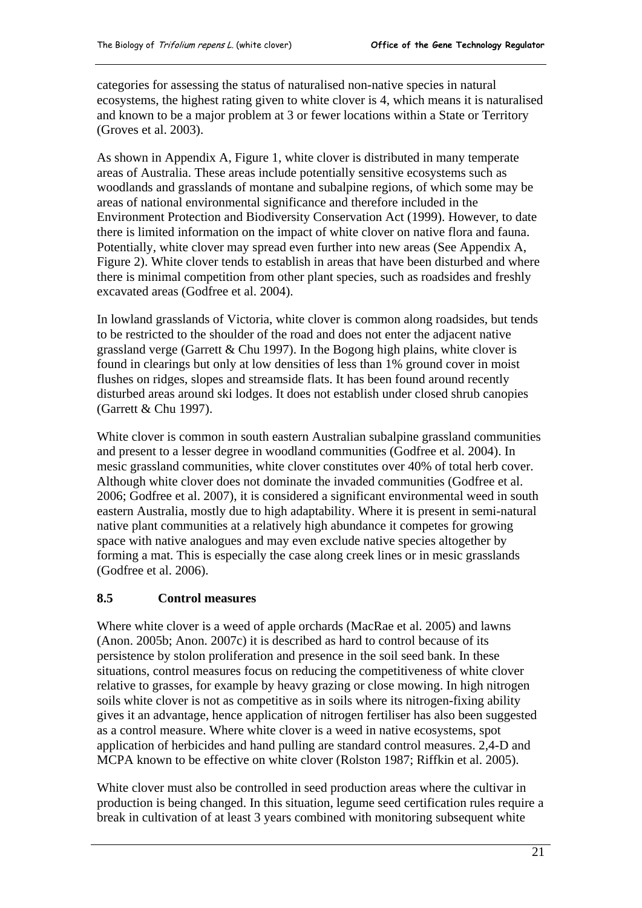<span id="page-24-0"></span>categories for assessing the status of naturalised non-native species in natural ecosystems, the highest rating given to white clover is 4, which means it is naturalised and known to be a major problem at 3 or fewer locations within a State or Territory (Groves et al. 2003).

As shown in Appendix A, Figure 1, white clover is distributed in many temperate areas of Australia. These areas include potentially sensitive ecosystems such as woodlands and grasslands of montane and subalpine regions, of which some may be areas of national environmental significance and therefore included in the Environment Protection and Biodiversity Conservation Act (1999). However, to date there is limited information on the impact of white clover on native flora and fauna. Potentially, white clover may spread even further into new areas (See Appendix A, Figure 2). White clover tends to establish in areas that have been disturbed and where there is minimal competition from other plant species, such as roadsides and freshly excavated areas (Godfree et al. 2004).

In lowland grasslands of Victoria, white clover is common along roadsides, but tends to be restricted to the shoulder of the road and does not enter the adjacent native grassland verge (Garrett & Chu 1997). In the Bogong high plains, white clover is found in clearings but only at low densities of less than 1% ground cover in moist flushes on ridges, slopes and streamside flats. It has been found around recently disturbed areas around ski lodges. It does not establish under closed shrub canopies (Garrett & Chu 1997).

White clover is common in south eastern Australian subalpine grassland communities and present to a lesser degree in woodland communities (Godfree et al. 2004). In mesic grassland communities, white clover constitutes over 40% of total herb cover. Although white clover does not dominate the invaded communities (Godfree et al. 2006; Godfree et al. 2007), it is considered a significant environmental weed in south eastern Australia, mostly due to high adaptability. Where it is present in semi-natural native plant communities at a relatively high abundance it competes for growing space with native analogues and may even exclude native species altogether by forming a mat. This is especially the case along creek lines or in mesic grasslands (Godfree et al. 2006).

#### **8.5 Control measures**

Where white clover is a weed of apple orchards (MacRae et al. 2005) and lawns (Anon. 2005b; Anon. 2007c) it is described as hard to control because of its persistence by stolon proliferation and presence in the soil seed bank. In these situations, control measures focus on reducing the competitiveness of white clover relative to grasses, for example by heavy grazing or close mowing. In high nitrogen soils white clover is not as competitive as in soils where its nitrogen-fixing ability gives it an advantage, hence application of nitrogen fertiliser has also been suggested as a control measure. Where white clover is a weed in native ecosystems, spot application of herbicides and hand pulling are standard control measures. 2,4-D and MCPA known to be effective on white clover (Rolston 1987; Riffkin et al. 2005).

White clover must also be controlled in seed production areas where the cultivar in production is being changed. In this situation, legume seed certification rules require a break in cultivation of at least 3 years combined with monitoring subsequent white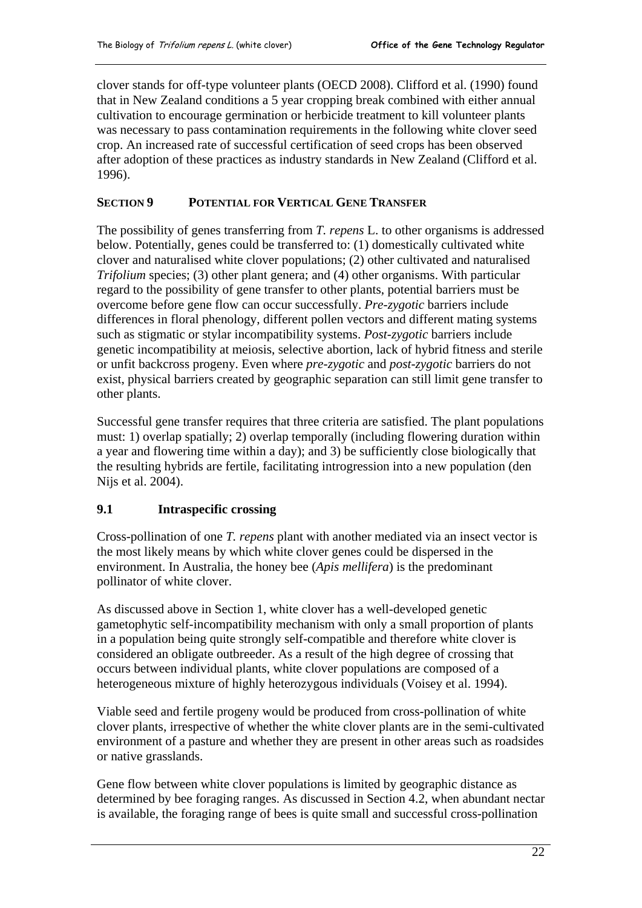<span id="page-25-0"></span>clover stands for off-type volunteer plants (OECD 2008). Clifford et al. (1990) found that in New Zealand conditions a 5 year cropping break combined with either annual cultivation to encourage germination or herbicide treatment to kill volunteer plants was necessary to pass contamination requirements in the following white clover seed crop. An increased rate of successful certification of seed crops has been observed after adoption of these practices as industry standards in New Zealand (Clifford et al. 1996).

#### **SECTION 9 POTENTIAL FOR VERTICAL GENE TRANSFER**

The possibility of genes transferring from *T. repens* L. to other organisms is addressed below. Potentially, genes could be transferred to: (1) domestically cultivated white clover and naturalised white clover populations; (2) other cultivated and naturalised *Trifolium* species; (3) other plant genera; and (4) other organisms. With particular regard to the possibility of gene transfer to other plants, potential barriers must be overcome before gene flow can occur successfully. *Pre-zygotic* barriers include differences in floral phenology, different pollen vectors and different mating systems such as stigmatic or stylar incompatibility systems. *Post-zygotic* barriers include genetic incompatibility at meiosis, selective abortion, lack of hybrid fitness and sterile or unfit backcross progeny. Even where *pre-zygotic* and *post-zygotic* barriers do not exist, physical barriers created by geographic separation can still limit gene transfer to other plants.

Successful gene transfer requires that three criteria are satisfied. The plant populations must: 1) overlap spatially; 2) overlap temporally (including flowering duration within a year and flowering time within a day); and 3) be sufficiently close biologically that the resulting hybrids are fertile, facilitating introgression into a new population (den Nijs et al. 2004).

#### **9.1 Intraspecific crossing**

Cross-pollination of one *T. repens* plant with another mediated via an insect vector is the most likely means by which white clover genes could be dispersed in the environment. In Australia, the honey bee (*Apis mellifera*) is the predominant pollinator of white clover.

As discussed above in Section 1, white clover has a well-developed genetic gametophytic self-incompatibility mechanism with only a small proportion of plants in a population being quite strongly self-compatible and therefore white clover is considered an obligate outbreeder. As a result of the high degree of crossing that occurs between individual plants, white clover populations are composed of a heterogeneous mixture of highly heterozygous individuals (Voisey et al. 1994).

Viable seed and fertile progeny would be produced from cross-pollination of white clover plants, irrespective of whether the white clover plants are in the semi-cultivated environment of a pasture and whether they are present in other areas such as roadsides or native grasslands.

Gene flow between white clover populations is limited by geographic distance as determined by bee foraging ranges. As discussed in Section 4.2, when abundant nectar is available, the foraging range of bees is quite small and successful cross-pollination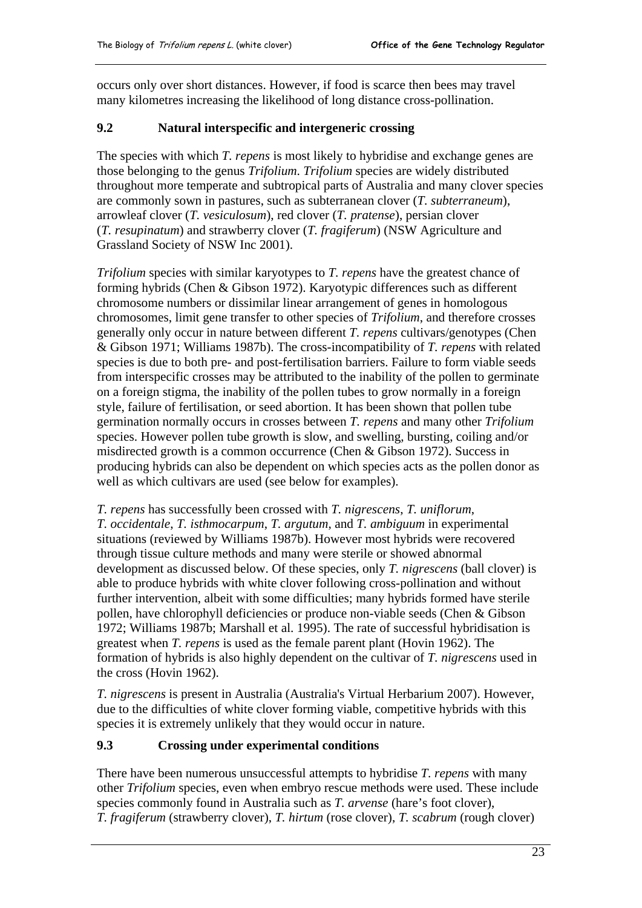<span id="page-26-0"></span>occurs only over short distances. However, if food is scarce then bees may travel many kilometres increasing the likelihood of long distance cross-pollination.

#### **9.2 Natural interspecific and intergeneric crossing**

The species with which *T. repens* is most likely to hybridise and exchange genes are those belonging to the genus *Trifolium*. *Trifolium* species are widely distributed throughout more temperate and subtropical parts of Australia and many clover species are commonly sown in pastures, such as subterranean clover (*T. subterraneum*), arrowleaf clover (*T. vesiculosum*), red clover (*T. pratense*), persian clover (*T. resupinatum*) and strawberry clover (*T. fragiferum*) (NSW Agriculture and Grassland Society of NSW Inc 2001).

*Trifolium* species with similar karyotypes to *T. repens* have the greatest chance of forming hybrids (Chen & Gibson 1972). Karyotypic differences such as different chromosome numbers or dissimilar linear arrangement of genes in homologous chromosomes, limit gene transfer to other species of *Trifolium*, and therefore crosses generally only occur in nature between different *T. repens* cultivars/genotypes (Chen & Gibson 1971; Williams 1987b). The cross-incompatibility of *T. repens* with related species is due to both pre- and post-fertilisation barriers. Failure to form viable seeds from interspecific crosses may be attributed to the inability of the pollen to germinate on a foreign stigma, the inability of the pollen tubes to grow normally in a foreign style, failure of fertilisation, or seed abortion. It has been shown that pollen tube germination normally occurs in crosses between *T. repens* and many other *Trifolium* species. However pollen tube growth is slow, and swelling, bursting, coiling and/or misdirected growth is a common occurrence (Chen & Gibson 1972). Success in producing hybrids can also be dependent on which species acts as the pollen donor as well as which cultivars are used (see below for examples).

*T. repens* has successfully been crossed with *T. nigrescens*, *T. uniflorum*, *T. occidentale*, *T. isthmocarpum*, *T. argutum*, and *T. ambiguum* in experimental situations (reviewed by Williams 1987b). However most hybrids were recovered through tissue culture methods and many were sterile or showed abnormal development as discussed below. Of these species, only *T. nigrescens* (ball clover) is able to produce hybrids with white clover following cross-pollination and without further intervention, albeit with some difficulties; many hybrids formed have sterile pollen, have chlorophyll deficiencies or produce non-viable seeds (Chen & Gibson 1972; Williams 1987b; Marshall et al. 1995). The rate of successful hybridisation is greatest when *T. repens* is used as the female parent plant (Hovin 1962). The formation of hybrids is also highly dependent on the cultivar of *T. nigrescens* used in the cross (Hovin 1962).

*T. nigrescens* is present in Australia (Australia's Virtual Herbarium 2007). However, due to the difficulties of white clover forming viable, competitive hybrids with this species it is extremely unlikely that they would occur in nature.

#### **9.3 Crossing under experimental conditions**

There have been numerous unsuccessful attempts to hybridise *T. repens* with many other *Trifolium* species, even when embryo rescue methods were used. These include species commonly found in Australia such as *T. arvense* (hare's foot clover), *T. fragiferum* (strawberry clover), *T. hirtum* (rose clover), *T. scabrum* (rough clover)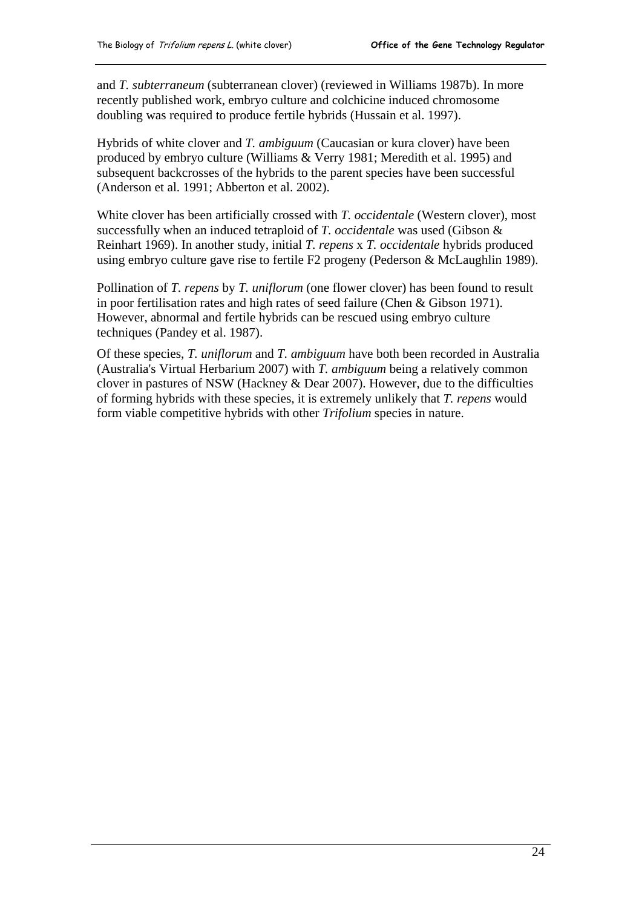and *T. subterraneum* (subterranean clover) (reviewed in Williams 1987b). In more recently published work, embryo culture and colchicine induced chromosome doubling was required to produce fertile hybrids (Hussain et al. 1997).

Hybrids of white clover and *T. ambiguum* (Caucasian or kura clover) have been produced by embryo culture (Williams & Verry 1981; Meredith et al. 1995) and subsequent backcrosses of the hybrids to the parent species have been successful (Anderson et al. 1991; Abberton et al. 2002).

White clover has been artificially crossed with *T. occidentale* (Western clover), most successfully when an induced tetraploid of *T. occidentale* was used (Gibson & Reinhart 1969). In another study, initial *T. repens* x *T. occidentale* hybrids produced using embryo culture gave rise to fertile F2 progeny (Pederson & McLaughlin 1989).

Pollination of *T. repens* by *T. uniflorum* (one flower clover) has been found to result in poor fertilisation rates and high rates of seed failure (Chen & Gibson 1971). However, abnormal and fertile hybrids can be rescued using embryo culture techniques (Pandey et al. 1987).

Of these species, *T. uniflorum* and *T. ambiguum* have both been recorded in Australia (Australia's Virtual Herbarium 2007) with *T. ambiguum* being a relatively common clover in pastures of NSW (Hackney & Dear 2007). However, due to the difficulties of forming hybrids with these species, it is extremely unlikely that *T. repens* would form viable competitive hybrids with other *Trifolium* species in nature.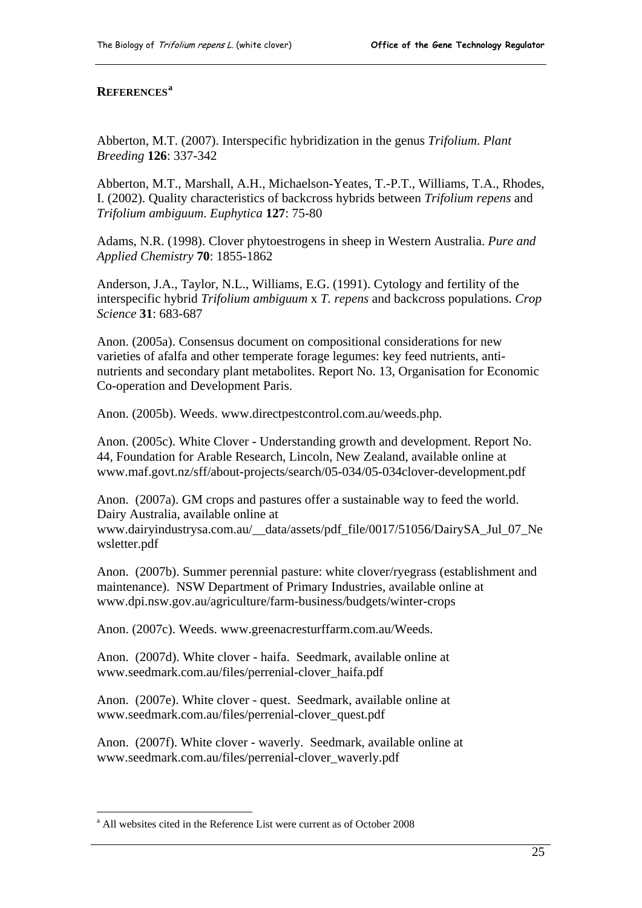#### <span id="page-28-0"></span>**REFERENCES[a](#page-28-0)**

Abberton, M.T. (2007). Interspecific hybridization in the genus *Trifolium*. *Plant Breeding* **126**: 337-342

Abberton, M.T., Marshall, A.H., Michaelson-Yeates, T.-P.T., Williams, T.A., Rhodes, I. (2002). Quality characteristics of backcross hybrids between *Trifolium repens* and *Trifolium ambiguum*. *Euphytica* **127**: 75-80

Adams, N.R. (1998). Clover phytoestrogens in sheep in Western Australia. *Pure and Applied Chemistry* **70**: 1855-1862

Anderson, J.A., Taylor, N.L., Williams, E.G. (1991). Cytology and fertility of the interspecific hybrid *Trifolium ambiguum* x *T. repens* and backcross populations. *Crop Science* **31**: 683-687

Anon. (2005a). Consensus document on compositional considerations for new varieties of afalfa and other temperate forage legumes: key feed nutrients, antinutrients and secondary plant metabolites. Report No. 13, Organisation for Economic Co-operation and Development Paris.

Anon. (2005b). Weeds. [www.directpestcontrol.com.au/weeds.php](http://www.directpestcontrol.com.au/weeds.php).

Anon. (2005c). White Clover - Understanding growth and development. Report No. 44, Foundation for Arable Research, Lincoln, New Zealand, available online at [www.maf.govt.nz/sff/about-projects/search/05-034/05-034clover-development.pdf](http://www.maf.govt.nz/sff/about-projects/search/05-034/05-034clover-development.pdf) 

Anon. (2007a). GM crops and pastures offer a sustainable way to feed the world. Dairy Australia, available online at [www.dairyindustrysa.com.au/\\_\\_data/assets/pdf\\_file/0017/51056/DairySA\\_Jul\\_07\\_Ne](http://www.dairyindustrysa.com.au/__data/assets/pdf_file/0017/51056/DairySA_Jul_07_Newsletter.pdf) [wsletter.pdf](http://www.dairyindustrysa.com.au/__data/assets/pdf_file/0017/51056/DairySA_Jul_07_Newsletter.pdf) 

Anon. (2007b). Summer perennial pasture: white clover/ryegrass (establishment and maintenance). NSW Department of Primary Industries, available online at [www.dpi.nsw.gov.au/agriculture/farm-business/budgets/winter-crops](http://www.dpi.nsw.gov.au/agriculture/farm-business/budgets/winter-crops) 

Anon. (2007c). Weeds. [www.greenacresturffarm.com.au/Weeds.](http://www.greenacresturffarm.com.au/Weeds)

Anon. (2007d). White clover - haifa. Seedmark, available online at [www.seedmark.com.au/files/perrenial-clover\\_haifa.pdf](http://www.seedmark.com.au/files/perrenial-clover_haifa.pdf) 

Anon. (2007e). White clover - quest. Seedmark, available online at [www.seedmark.com.au/files/perrenial-clover\\_quest.pdf](http://www.seedmark.com.au/files/perrenial-clover_quest.pdf)

Anon. (2007f). White clover - waverly. Seedmark, available online at [www.seedmark.com.au/files/perrenial-clover\\_waverly.pdf](http://www.seedmark.com.au/files/perrenial-clover_waverly.pdf)

 $\overline{a}$ 

<sup>&</sup>lt;sup>a</sup> All websites cited in the Reference List were current as of October 2008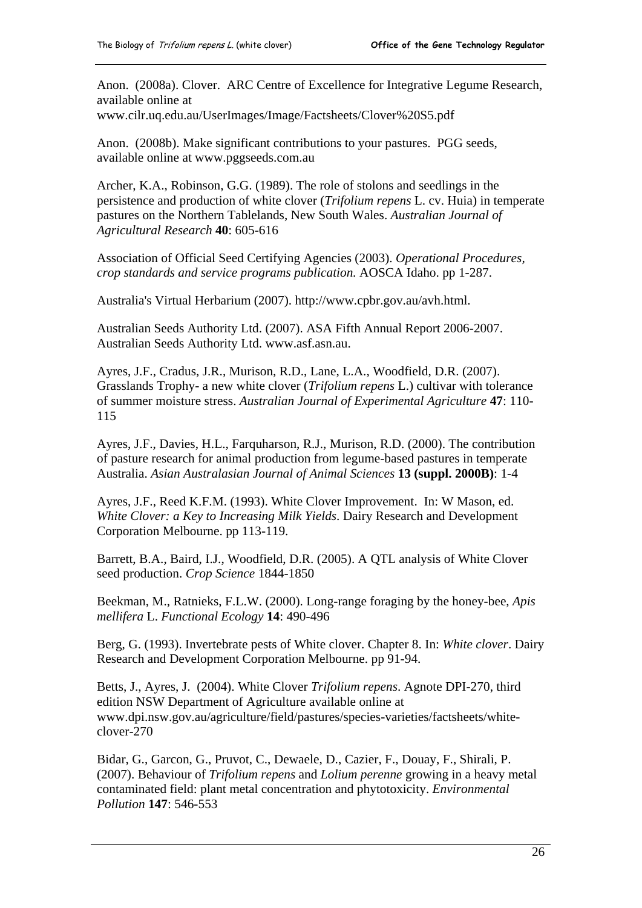Anon. (2008a). Clover. ARC Centre of Excellence for Integrative Legume Research, available online at

[www.cilr.uq.edu.au/UserImages/Image/Factsheets/Clover%20S5.pdf](http://www.cilr.uq.edu.au/UserImages/Image/Factsheets/Clover%20S5.pdf) 

Anon. (2008b). Make significant contributions to your pastures. PGG seeds, available online at [www.pggseeds.com.au](http://www.pggseeds.com.au/) 

Archer, K.A., Robinson, G.G. (1989). The role of stolons and seedlings in the persistence and production of white clover (*Trifolium repens* L. cv. Huia) in temperate pastures on the Northern Tablelands, New South Wales. *Australian Journal of Agricultural Research* **40**: 605-616

Association of Official Seed Certifying Agencies (2003). *Operational Procedures, crop standards and service programs publication.* AOSCA Idaho. pp 1-287.

Australia's Virtual Herbarium (2007). [http://www.cpbr.gov.au/avh.html.](http://www.cpbr.gov.au/avh.html)

Australian Seeds Authority Ltd. (2007). ASA Fifth Annual Report 2006-2007. Australian Seeds Authority Ltd. [www.asf.asn.au](http://www.asf.asn.au/).

Ayres, J.F., Cradus, J.R., Murison, R.D., Lane, L.A., Woodfield, D.R. (2007). Grasslands Trophy- a new white clover (*Trifolium repens* L.) cultivar with tolerance of summer moisture stress. *Australian Journal of Experimental Agriculture* **47**: 110- 115

Ayres, J.F., Davies, H.L., Farquharson, R.J., Murison, R.D. (2000). The contribution of pasture research for animal production from legume-based pastures in temperate Australia. *Asian Australasian Journal of Animal Sciences* **13 (suppl. 2000B)**: 1-4

Ayres, J.F., Reed K.F.M. (1993). White Clover Improvement. In: W Mason, ed. *White Clover: a Key to Increasing Milk Yields*. Dairy Research and Development Corporation Melbourne. pp 113-119.

Barrett, B.A., Baird, I.J., Woodfield, D.R. (2005). A QTL analysis of White Clover seed production. *Crop Science* 1844-1850

Beekman, M., Ratnieks, F.L.W. (2000). Long-range foraging by the honey-bee, *Apis mellifera* L. *Functional Ecology* **14**: 490-496

Berg, G. (1993). Invertebrate pests of White clover. Chapter 8. In: *White clover*. Dairy Research and Development Corporation Melbourne. pp 91-94.

Betts, J., Ayres, J. (2004). White Clover *Trifolium repens*. Agnote DPI-270, third edition NSW Department of Agriculture available online at [www.dpi.nsw.gov.au/agriculture/field/pastures/species-varieties/factsheets/white](http://www.dpi.nsw.gov.au/agriculture/field/pastures/species-varieties/factsheets/white-clover-270)[clover-270](http://www.dpi.nsw.gov.au/agriculture/field/pastures/species-varieties/factsheets/white-clover-270) 

Bidar, G., Garcon, G., Pruvot, C., Dewaele, D., Cazier, F., Douay, F., Shirali, P. (2007). Behaviour of *Trifolium repens* and *Lolium perenne* growing in a heavy metal contaminated field: plant metal concentration and phytotoxicity. *Environmental Pollution* **147**: 546-553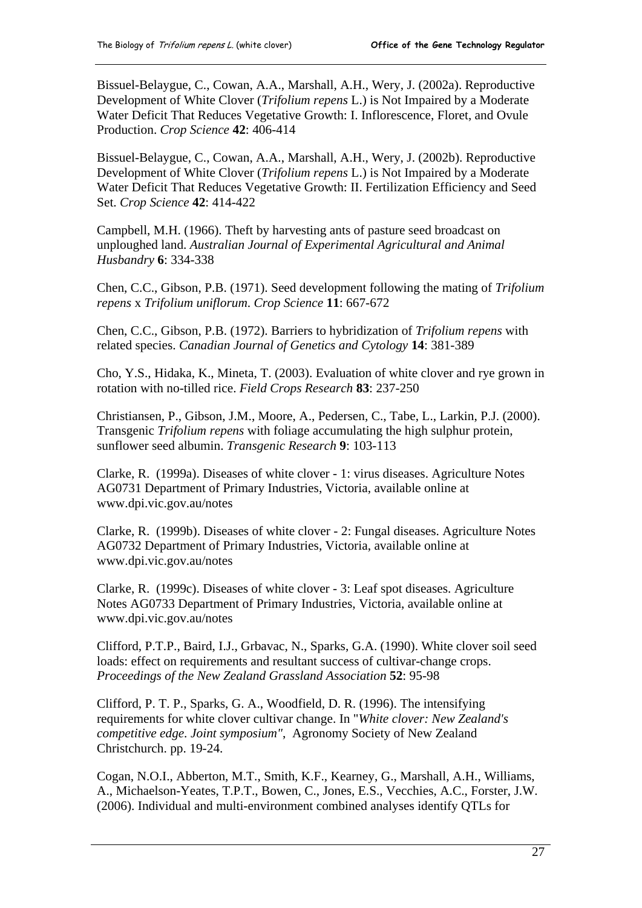Bissuel-Belaygue, C., Cowan, A.A., Marshall, A.H., Wery, J. (2002a). Reproductive Development of White Clover (*Trifolium repens* L.) is Not Impaired by a Moderate Water Deficit That Reduces Vegetative Growth: I. Inflorescence, Floret, and Ovule Production. *Crop Science* **42**: 406-414

Bissuel-Belaygue, C., Cowan, A.A., Marshall, A.H., Wery, J. (2002b). Reproductive Development of White Clover (*Trifolium repens* L.) is Not Impaired by a Moderate Water Deficit That Reduces Vegetative Growth: II. Fertilization Efficiency and Seed Set. *Crop Science* **42**: 414-422

Campbell, M.H. (1966). Theft by harvesting ants of pasture seed broadcast on unploughed land. *Australian Journal of Experimental Agricultural and Animal Husbandry* **6**: 334-338

Chen, C.C., Gibson, P.B. (1971). Seed development following the mating of *Trifolium repens* x *Trifolium uniflorum*. *Crop Science* **11**: 667-672

Chen, C.C., Gibson, P.B. (1972). Barriers to hybridization of *Trifolium repens* with related species. *Canadian Journal of Genetics and Cytology* **14**: 381-389

Cho, Y.S., Hidaka, K., Mineta, T. (2003). Evaluation of white clover and rye grown in rotation with no-tilled rice. *Field Crops Research* **83**: 237-250

Christiansen, P., Gibson, J.M., Moore, A., Pedersen, C., Tabe, L., Larkin, P.J. (2000). Transgenic *Trifolium repens* with foliage accumulating the high sulphur protein, sunflower seed albumin. *Transgenic Research* **9**: 103-113

Clarke, R. (1999a). Diseases of white clover - 1: virus diseases. Agriculture Notes AG0731 Department of Primary Industries, Victoria, available online at [www.dpi.vic.gov.au/notes](http://www.dpi.vic.gov.au/notes) 

Clarke, R. (1999b). Diseases of white clover - 2: Fungal diseases. Agriculture Notes AG0732 Department of Primary Industries, Victoria, available online at [www.dpi.vic.gov.au/notes](http://www.dpi.vic.gov.au/notes) 

Clarke, R. (1999c). Diseases of white clover - 3: Leaf spot diseases. Agriculture Notes AG0733 Department of Primary Industries, Victoria, available online at [www.dpi.vic.gov.au/notes](http://www.dpi.vic.gov.au/notes) 

Clifford, P.T.P., Baird, I.J., Grbavac, N., Sparks, G.A. (1990). White clover soil seed loads: effect on requirements and resultant success of cultivar-change crops. *Proceedings of the New Zealand Grassland Association* **52**: 95-98

Clifford, P. T. P., Sparks, G. A., Woodfield, D. R. (1996). The intensifying requirements for white clover cultivar change. In "*White clover: New Zealand's competitive edge. Joint symposium"*, Agronomy Society of New Zealand Christchurch. pp. 19-24.

Cogan, N.O.I., Abberton, M.T., Smith, K.F., Kearney, G., Marshall, A.H., Williams, A., Michaelson-Yeates, T.P.T., Bowen, C., Jones, E.S., Vecchies, A.C., Forster, J.W. (2006). Individual and multi-environment combined analyses identify QTLs for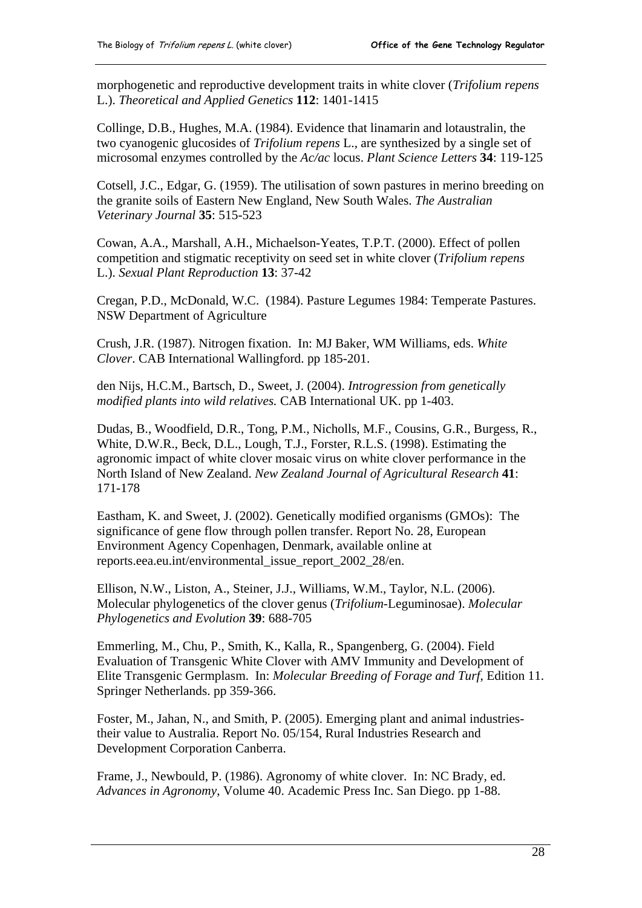morphogenetic and reproductive development traits in white clover (*Trifolium repens* L.). *Theoretical and Applied Genetics* **112**: 1401-1415

Collinge, D.B., Hughes, M.A. (1984). Evidence that linamarin and lotaustralin, the two cyanogenic glucosides of *Trifolium repens* L., are synthesized by a single set of microsomal enzymes controlled by the *Ac/ac* locus. *Plant Science Letters* **34**: 119-125

Cotsell, J.C., Edgar, G. (1959). The utilisation of sown pastures in merino breeding on the granite soils of Eastern New England, New South Wales. *The Australian Veterinary Journal* **35**: 515-523

Cowan, A.A., Marshall, A.H., Michaelson-Yeates, T.P.T. (2000). Effect of pollen competition and stigmatic receptivity on seed set in white clover (*Trifolium repens* L.). *Sexual Plant Reproduction* **13**: 37-42

Cregan, P.D., McDonald, W.C. (1984). Pasture Legumes 1984: Temperate Pastures. NSW Department of Agriculture

Crush, J.R. (1987). Nitrogen fixation. In: MJ Baker, WM Williams, eds. *White Clover*. CAB International Wallingford. pp 185-201.

den Nijs, H.C.M., Bartsch, D., Sweet, J. (2004). *Introgression from genetically modified plants into wild relatives.* CAB International UK. pp 1-403.

Dudas, B., Woodfield, D.R., Tong, P.M., Nicholls, M.F., Cousins, G.R., Burgess, R., White, D.W.R., Beck, D.L., Lough, T.J., Forster, R.L.S. (1998). Estimating the agronomic impact of white clover mosaic virus on white clover performance in the North Island of New Zealand. *New Zealand Journal of Agricultural Research* **41**: 171-178

Eastham, K. and Sweet, J. (2002). Genetically modified organisms (GMOs): The significance of gene flow through pollen transfer. Report No. 28, European Environment Agency Copenhagen, Denmark, available online at reports.eea.eu.int/environmental\_issue\_report\_2002\_28/en.

Ellison, N.W., Liston, A., Steiner, J.J., Williams, W.M., Taylor, N.L. (2006). Molecular phylogenetics of the clover genus (*Trifolium*-Leguminosae). *Molecular Phylogenetics and Evolution* **39**: 688-705

Emmerling, M., Chu, P., Smith, K., Kalla, R., Spangenberg, G. (2004). Field Evaluation of Transgenic White Clover with AMV Immunity and Development of Elite Transgenic Germplasm. In: *Molecular Breeding of Forage and Turf*, Edition 11. Springer Netherlands. pp 359-366.

Foster, M., Jahan, N., and Smith, P. (2005). Emerging plant and animal industriestheir value to Australia. Report No. 05/154, Rural Industries Research and Development Corporation Canberra.

Frame, J., Newbould, P. (1986). Agronomy of white clover. In: NC Brady, ed. *Advances in Agronomy*, Volume 40. Academic Press Inc. San Diego. pp 1-88.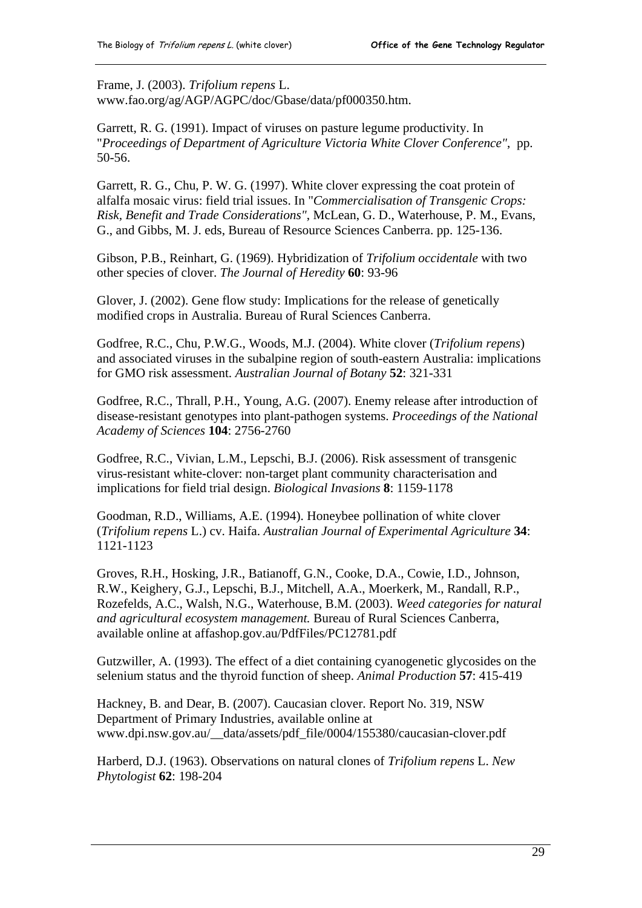Frame, J. (2003). *Trifolium repens* L.

[www.fao.org/ag/AGP/AGPC/doc/Gbase/data/pf000350.htm.](http://www.fao.org/ag/AGP/AGPC/doc/Gbase/data/pf000350.htm)

Garrett, R. G. (1991). Impact of viruses on pasture legume productivity. In "*Proceedings of Department of Agriculture Victoria White Clover Conference"*, pp. 50-56.

Garrett, R. G., Chu, P. W. G. (1997). White clover expressing the coat protein of alfalfa mosaic virus: field trial issues. In "*Commercialisation of Transgenic Crops: Risk, Benefit and Trade Considerations"*, McLean, G. D., Waterhouse, P. M., Evans, G., and Gibbs, M. J. eds, Bureau of Resource Sciences Canberra. pp. 125-136.

Gibson, P.B., Reinhart, G. (1969). Hybridization of *Trifolium occidentale* with two other species of clover. *The Journal of Heredity* **60**: 93-96

Glover, J. (2002). Gene flow study: Implications for the release of genetically modified crops in Australia. Bureau of Rural Sciences Canberra.

Godfree, R.C., Chu, P.W.G., Woods, M.J. (2004). White clover (*Trifolium repens*) and associated viruses in the subalpine region of south-eastern Australia: implications for GMO risk assessment. *Australian Journal of Botany* **52**: 321-331

Godfree, R.C., Thrall, P.H., Young, A.G. (2007). Enemy release after introduction of disease-resistant genotypes into plant-pathogen systems. *Proceedings of the National Academy of Sciences* **104**: 2756-2760

Godfree, R.C., Vivian, L.M., Lepschi, B.J. (2006). Risk assessment of transgenic virus-resistant white-clover: non-target plant community characterisation and implications for field trial design. *Biological Invasions* **8**: 1159-1178

Goodman, R.D., Williams, A.E. (1994). Honeybee pollination of white clover (*Trifolium repens* L.) cv. Haifa. *Australian Journal of Experimental Agriculture* **34**: 1121-1123

Groves, R.H., Hosking, J.R., Batianoff, G.N., Cooke, D.A., Cowie, I.D., Johnson, R.W., Keighery, G.J., Lepschi, B.J., Mitchell, A.A., Moerkerk, M., Randall, R.P., Rozefelds, A.C., Walsh, N.G., Waterhouse, B.M. (2003). *Weed categories for natural and agricultural ecosystem management.* Bureau of Rural Sciences Canberra, available online at affashop.gov.au/PdfFiles/PC12781.pdf

Gutzwiller, A. (1993). The effect of a diet containing cyanogenetic glycosides on the selenium status and the thyroid function of sheep. *Animal Production* **57**: 415-419

Hackney, B. and Dear, B. (2007). Caucasian clover. Report No. 319, NSW Department of Primary Industries, available online at [www.dpi.nsw.gov.au/\\_\\_data/assets/pdf\\_file/0004/155380/caucasian-clover.pdf](http://www.dpi.nsw.gov.au/__data/assets/pdf_file/0004/155380/caucasian-clover.pdf) 

Harberd, D.J. (1963). Observations on natural clones of *Trifolium repens* L. *New Phytologist* **62**: 198-204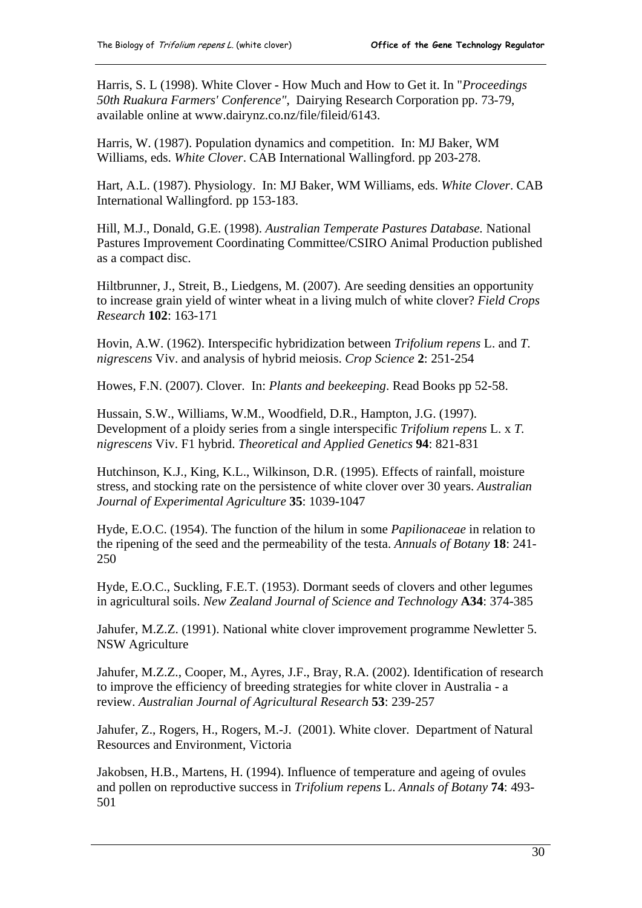Harris, S. L (1998). White Clover - How Much and How to Get it. In "*Proceedings 50th Ruakura Farmers' Conference"*, Dairying Research Corporation pp. 73-79, available online at [www.dairynz.co.nz/file/fileid/6143.](http://www.dairynz.co.nz/file/fileid/6143)

Harris, W. (1987). Population dynamics and competition. In: MJ Baker, WM Williams, eds. *White Clover*. CAB International Wallingford. pp 203-278.

Hart, A.L. (1987). Physiology. In: MJ Baker, WM Williams, eds. *White Clover*. CAB International Wallingford. pp 153-183.

Hill, M.J., Donald, G.E. (1998). *Australian Temperate Pastures Database.* National Pastures Improvement Coordinating Committee/CSIRO Animal Production published as a compact disc.

Hiltbrunner, J., Streit, B., Liedgens, M. (2007). Are seeding densities an opportunity to increase grain yield of winter wheat in a living mulch of white clover? *Field Crops Research* **102**: 163-171

Hovin, A.W. (1962). Interspecific hybridization between *Trifolium repens* L. and *T. nigrescens* Viv. and analysis of hybrid meiosis. *Crop Science* **2**: 251-254

Howes, F.N. (2007). Clover. In: *Plants and beekeeping*. Read Books pp 52-58.

Hussain, S.W., Williams, W.M., Woodfield, D.R., Hampton, J.G. (1997). Development of a ploidy series from a single interspecific *Trifolium repens* L. x *T. nigrescens* Viv. F1 hybrid. *Theoretical and Applied Genetics* **94**: 821-831

Hutchinson, K.J., King, K.L., Wilkinson, D.R. (1995). Effects of rainfall, moisture stress, and stocking rate on the persistence of white clover over 30 years. *Australian Journal of Experimental Agriculture* **35**: 1039-1047

Hyde, E.O.C. (1954). The function of the hilum in some *Papilionaceae* in relation to the ripening of the seed and the permeability of the testa. *Annuals of Botany* **18**: 241- 250

Hyde, E.O.C., Suckling, F.E.T. (1953). Dormant seeds of clovers and other legumes in agricultural soils. *New Zealand Journal of Science and Technology* **A34**: 374-385

Jahufer, M.Z.Z. (1991). National white clover improvement programme Newletter 5. NSW Agriculture

Jahufer, M.Z.Z., Cooper, M., Ayres, J.F., Bray, R.A. (2002). Identification of research to improve the efficiency of breeding strategies for white clover in Australia - a review. *Australian Journal of Agricultural Research* **53**: 239-257

Jahufer, Z., Rogers, H., Rogers, M.-J. (2001). White clover. Department of Natural Resources and Environment, Victoria

Jakobsen, H.B., Martens, H. (1994). Influence of temperature and ageing of ovules and pollen on reproductive success in *Trifolium repens* L. *Annals of Botany* **74**: 493- 501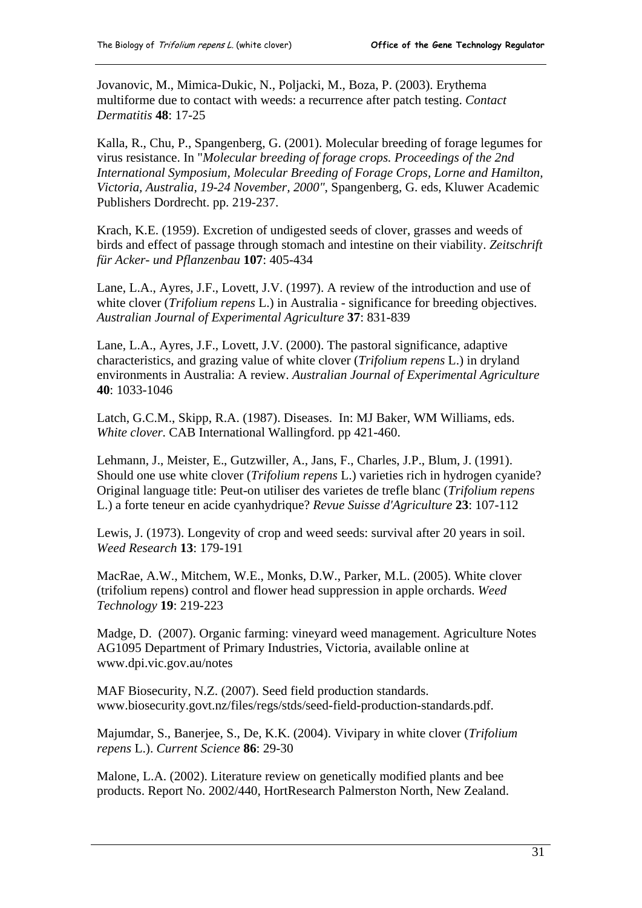Jovanovic, M., Mimica-Dukic, N., Poljacki, M., Boza, P. (2003). Erythema multiforme due to contact with weeds: a recurrence after patch testing. *Contact Dermatitis* **48**: 17-25

Kalla, R., Chu, P., Spangenberg, G. (2001). Molecular breeding of forage legumes for virus resistance. In "*Molecular breeding of forage crops. Proceedings of the 2nd International Symposium, Molecular Breeding of Forage Crops, Lorne and Hamilton, Victoria, Australia, 19-24 November, 2000"*, Spangenberg, G. eds, Kluwer Academic Publishers Dordrecht. pp. 219-237.

Krach, K.E. (1959). Excretion of undigested seeds of clover, grasses and weeds of birds and effect of passage through stomach and intestine on their viability. *Zeitschrift für Acker- und Pflanzenbau* **107**: 405-434

Lane, L.A., Ayres, J.F., Lovett, J.V. (1997). A review of the introduction and use of white clover (*Trifolium repens* L.) in Australia - significance for breeding objectives. *Australian Journal of Experimental Agriculture* **37**: 831-839

Lane, L.A., Ayres, J.F., Lovett, J.V. (2000). The pastoral significance, adaptive characteristics, and grazing value of white clover (*Trifolium repens* L.) in dryland environments in Australia: A review. *Australian Journal of Experimental Agriculture* **40**: 1033-1046

Latch, G.C.M., Skipp, R.A. (1987). Diseases. In: MJ Baker, WM Williams, eds. *White clover*. CAB International Wallingford. pp 421-460.

Lehmann, J., Meister, E., Gutzwiller, A., Jans, F., Charles, J.P., Blum, J. (1991). Should one use white clover (*Trifolium repens* L.) varieties rich in hydrogen cyanide? Original language title: Peut-on utiliser des varietes de trefle blanc (*Trifolium repens* L.) a forte teneur en acide cyanhydrique? *Revue Suisse d'Agriculture* **23**: 107-112

Lewis, J. (1973). Longevity of crop and weed seeds: survival after 20 years in soil. *Weed Research* **13**: 179-191

MacRae, A.W., Mitchem, W.E., Monks, D.W., Parker, M.L. (2005). White clover (trifolium repens) control and flower head suppression in apple orchards. *Weed Technology* **19**: 219-223

Madge, D. (2007). Organic farming: vineyard weed management. Agriculture Notes AG1095 Department of Primary Industries, Victoria, available online at [www.dpi.vic.gov.au/notes](http://www.dpi.vic.gov.au/notes) 

MAF Biosecurity, N.Z. (2007). Seed field production standards. [www.biosecurity.govt.nz/files/regs/stds/seed-field-production-standards.pdf](http://www.biosecurity.govt.nz/files/regs/stds/seed-field-production-standards.pdf).

Majumdar, S., Banerjee, S., De, K.K. (2004). Vivipary in white clover (*Trifolium repens* L.). *Current Science* **86**: 29-30

Malone, L.A. (2002). Literature review on genetically modified plants and bee products. Report No. 2002/440, HortResearch Palmerston North, New Zealand.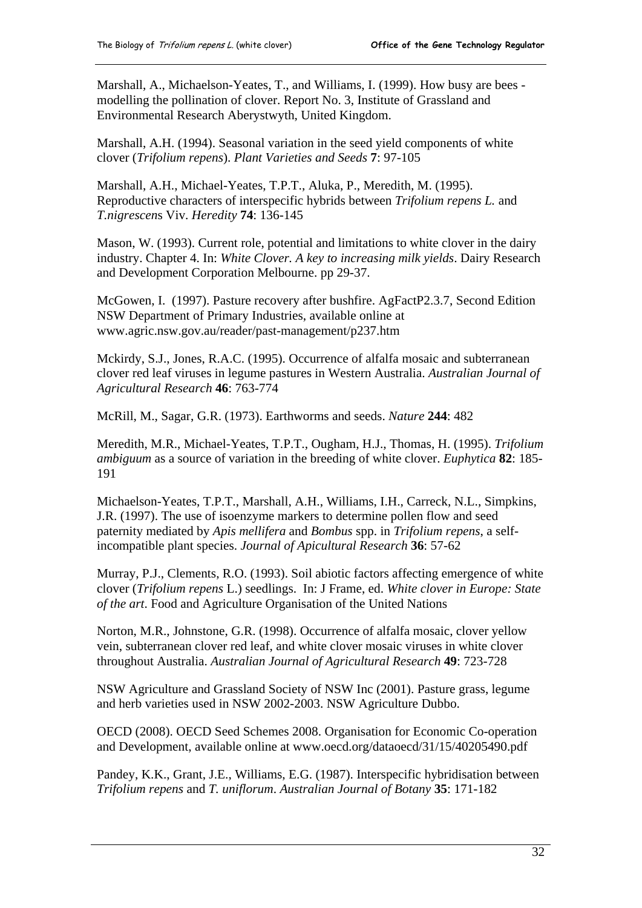Marshall, A., Michaelson-Yeates, T., and Williams, I. (1999). How busy are bees modelling the pollination of clover. Report No. 3, Institute of Grassland and Environmental Research Aberystwyth, United Kingdom.

Marshall, A.H. (1994). Seasonal variation in the seed yield components of white clover (*Trifolium repens*). *Plant Varieties and Seeds* **7**: 97-105

Marshall, A.H., Michael-Yeates, T.P.T., Aluka, P., Meredith, M. (1995). Reproductive characters of interspecific hybrids between *Trifolium repens L.* and *T.nigrescen*s Viv. *Heredity* **74**: 136-145

Mason, W. (1993). Current role, potential and limitations to white clover in the dairy industry. Chapter 4. In: *White Clover. A key to increasing milk yields*. Dairy Research and Development Corporation Melbourne. pp 29-37.

McGowen, I. (1997). Pasture recovery after bushfire. AgFactP2.3.7, Second Edition NSW Department of Primary Industries, available online at [www.agric.nsw.gov.au/reader/past-management/p237.htm](http://www.agric.nsw.gov.au/reader/past-management/p237.htm) 

Mckirdy, S.J., Jones, R.A.C. (1995). Occurrence of alfalfa mosaic and subterranean clover red leaf viruses in legume pastures in Western Australia. *Australian Journal of Agricultural Research* **46**: 763-774

McRill, M., Sagar, G.R. (1973). Earthworms and seeds. *Nature* **244**: 482

Meredith, M.R., Michael-Yeates, T.P.T., Ougham, H.J., Thomas, H. (1995). *Trifolium ambiguum* as a source of variation in the breeding of white clover. *Euphytica* **82**: 185- 191

Michaelson-Yeates, T.P.T., Marshall, A.H., Williams, I.H., Carreck, N.L., Simpkins, J.R. (1997). The use of isoenzyme markers to determine pollen flow and seed paternity mediated by *Apis mellifera* and *Bombus* spp. in *Trifolium repens*, a selfincompatible plant species. *Journal of Apicultural Research* **36**: 57-62

Murray, P.J., Clements, R.O. (1993). Soil abiotic factors affecting emergence of white clover (*Trifolium repens* L.) seedlings. In: J Frame, ed. *White clover in Europe: State of the art*. Food and Agriculture Organisation of the United Nations

Norton, M.R., Johnstone, G.R. (1998). Occurrence of alfalfa mosaic, clover yellow vein, subterranean clover red leaf, and white clover mosaic viruses in white clover throughout Australia. *Australian Journal of Agricultural Research* **49**: 723-728

NSW Agriculture and Grassland Society of NSW Inc (2001). Pasture grass, legume and herb varieties used in NSW 2002-2003. NSW Agriculture Dubbo.

OECD (2008). OECD Seed Schemes 2008. Organisation for Economic Co-operation and Development, available online at [www.oecd.org/dataoecd/31/15/40205490.pdf](http://www.oecd.org/dataoecd/31/15/40205490.pdf) 

Pandey, K.K., Grant, J.E., Williams, E.G. (1987). Interspecific hybridisation between *Trifolium repens* and *T. uniflorum*. *Australian Journal of Botany* **35**: 171-182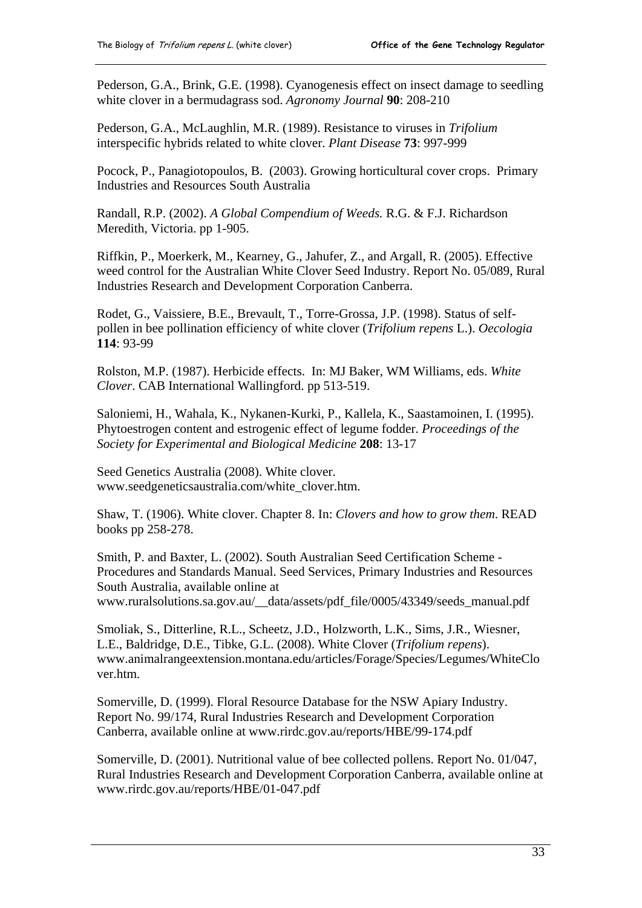Pederson, G.A., Brink, G.E. (1998). Cyanogenesis effect on insect damage to seedling white clover in a bermudagrass sod. *Agronomy Journal* **90**: 208-210

Pederson, G.A., McLaughlin, M.R. (1989). Resistance to viruses in *Trifolium* interspecific hybrids related to white clover. *Plant Disease* **73**: 997-999

Pocock, P., Panagiotopoulos, B. (2003). Growing horticultural cover crops. Primary Industries and Resources South Australia

Randall, R.P. (2002). *A Global Compendium of Weeds.* R.G. & F.J. Richardson Meredith, Victoria. pp 1-905.

Riffkin, P., Moerkerk, M., Kearney, G., Jahufer, Z., and Argall, R. (2005). Effective weed control for the Australian White Clover Seed Industry. Report No. 05/089, Rural Industries Research and Development Corporation Canberra.

Rodet, G., Vaissiere, B.E., Brevault, T., Torre-Grossa, J.P. (1998). Status of selfpollen in bee pollination efficiency of white clover (*Trifolium repens* L.). *Oecologia* **114**: 93-99

Rolston, M.P. (1987). Herbicide effects. In: MJ Baker, WM Williams, eds. *White Clover*. CAB International Wallingford. pp 513-519.

Saloniemi, H., Wahala, K., Nykanen-Kurki, P., Kallela, K., Saastamoinen, I. (1995). Phytoestrogen content and estrogenic effect of legume fodder. *Proceedings of the Society for Experimental and Biological Medicine* **208**: 13-17

Seed Genetics Australia (2008). White clover. [www.seedgeneticsaustralia.com/white\\_clover.htm](http://www.seedgeneticsaustralia.com/white_clover.htm).

Shaw, T. (1906). White clover. Chapter 8. In: *Clovers and how to grow them*. READ books pp 258-278.

Smith, P. and Baxter, L. (2002). South Australian Seed Certification Scheme - Procedures and Standards Manual. Seed Services, Primary Industries and Resources South Australia, available online at [www.ruralsolutions.sa.gov.au/\\_\\_data/assets/pdf\\_file/0005/43349/seeds\\_manual.pdf](http://www.ruralsolutions.sa.gov.au/__data/assets/pdf_file/0005/43349/seeds_manual.pdf) 

Smoliak, S., Ditterline, R.L., Scheetz, J.D., Holzworth, L.K., Sims, J.R., Wiesner, L.E., Baldridge, D.E., Tibke, G.L. (2008). White Clover (*Trifolium repens*). [www.animalrangeextension.montana.edu/articles/Forage/Species/Legumes/WhiteClo](http://www.animalrangeextension.montana.edu/articles/Forage/Species/Legumes/WhiteClover.htm) [ver.htm.](http://www.animalrangeextension.montana.edu/articles/Forage/Species/Legumes/WhiteClover.htm)

Somerville, D. (1999). Floral Resource Database for the NSW Apiary Industry. Report No. 99/174, Rural Industries Research and Development Corporation Canberra, available online at [www.rirdc.gov.au/reports/HBE/99-174.pdf](http://www.rirdc.gov.au/reports/HBE/99-174.pdf) 

Somerville, D. (2001). Nutritional value of bee collected pollens. Report No. 01/047, Rural Industries Research and Development Corporation Canberra, available online at [www.rirdc.gov.au/reports/HBE/01-047.pdf](http://www.rirdc.gov.au/reports/HBE/01-047.pdf)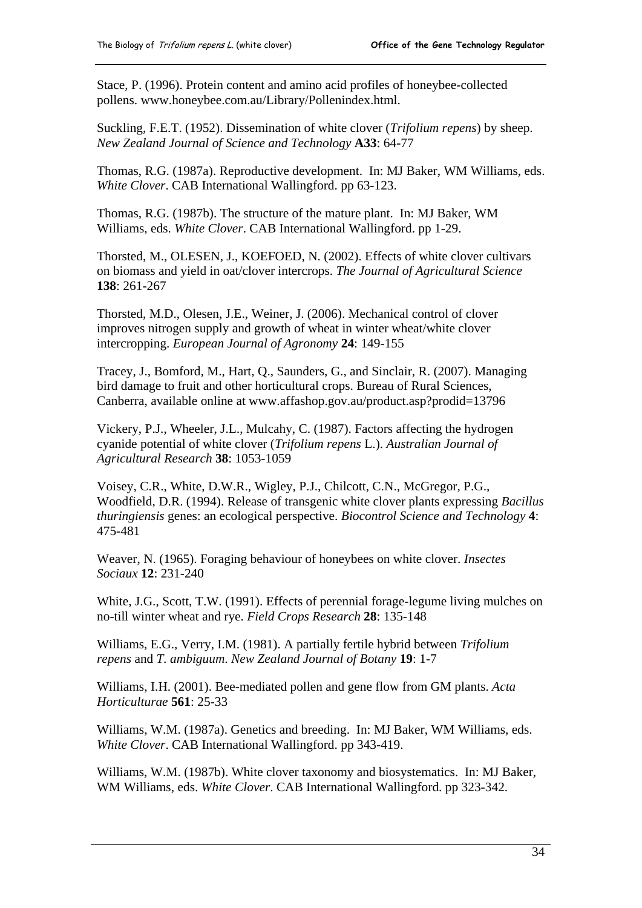Stace, P. (1996). Protein content and amino acid profiles of honeybee-collected pollens. [www.honeybee.com.au/Library/Pollenindex.html.](http://www.honeybee.com.au/Library/Pollenindex.html)

Suckling, F.E.T. (1952). Dissemination of white clover (*Trifolium repens*) by sheep. *New Zealand Journal of Science and Technology* **A33**: 64-77

Thomas, R.G. (1987a). Reproductive development. In: MJ Baker, WM Williams, eds. *White Clover*. CAB International Wallingford. pp 63-123.

Thomas, R.G. (1987b). The structure of the mature plant. In: MJ Baker, WM Williams, eds. *White Clover*. CAB International Wallingford. pp 1-29.

Thorsted, M., OLESEN, J., KOEFOED, N. (2002). Effects of white clover cultivars on biomass and yield in oat/clover intercrops. *The Journal of Agricultural Science* **138**: 261-267

Thorsted, M.D., Olesen, J.E., Weiner, J. (2006). Mechanical control of clover improves nitrogen supply and growth of wheat in winter wheat/white clover intercropping. *European Journal of Agronomy* **24**: 149-155

Tracey, J., Bomford, M., Hart, Q., Saunders, G., and Sinclair, R. (2007). Managing bird damage to fruit and other horticultural crops. Bureau of Rural Sciences, Canberra, available online at [www.affashop.gov.au/product.asp?prodid=13796](http://www.affashop.gov.au/product.asp?prodid=13796) 

Vickery, P.J., Wheeler, J.L., Mulcahy, C. (1987). Factors affecting the hydrogen cyanide potential of white clover (*Trifolium repens* L.). *Australian Journal of Agricultural Research* **38**: 1053-1059

Voisey, C.R., White, D.W.R., Wigley, P.J., Chilcott, C.N., McGregor, P.G., Woodfield, D.R. (1994). Release of transgenic white clover plants expressing *Bacillus thuringiensis* genes: an ecological perspective. *Biocontrol Science and Technology* **4**: 475-481

Weaver, N. (1965). Foraging behaviour of honeybees on white clover. *Insectes Sociaux* **12**: 231-240

White, J.G., Scott, T.W. (1991). Effects of perennial forage-legume living mulches on no-till winter wheat and rye. *Field Crops Research* **28**: 135-148

Williams, E.G., Verry, I.M. (1981). A partially fertile hybrid between *Trifolium repens* and *T. ambiguum*. *New Zealand Journal of Botany* **19**: 1-7

Williams, I.H. (2001). Bee-mediated pollen and gene flow from GM plants. *Acta Horticulturae* **561**: 25-33

Williams, W.M. (1987a). Genetics and breeding. In: MJ Baker, WM Williams, eds. *White Clover*. CAB International Wallingford. pp 343-419.

Williams, W.M. (1987b). White clover taxonomy and biosystematics. In: MJ Baker, WM Williams, eds. *White Clover*. CAB International Wallingford. pp 323-342.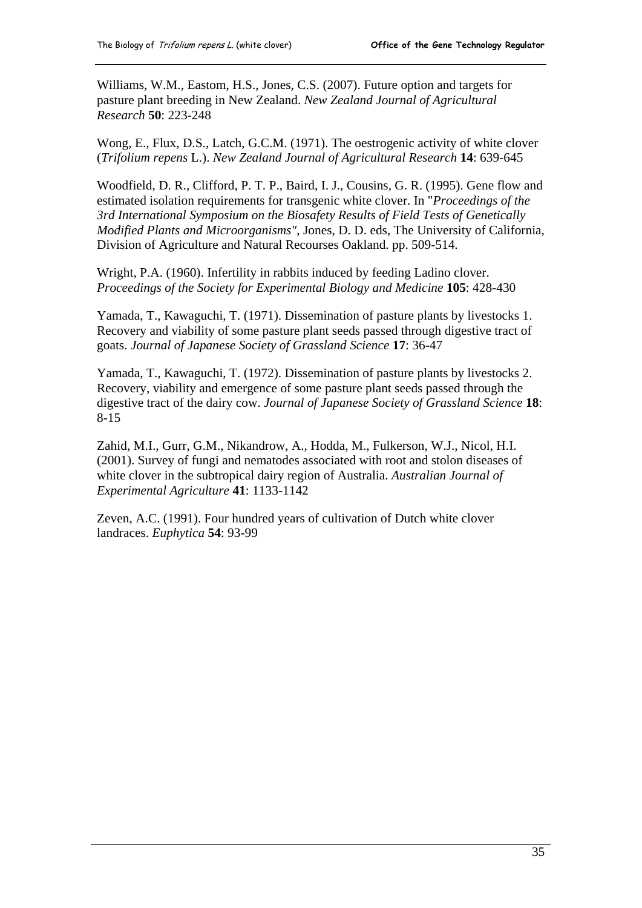Williams, W.M., Eastom, H.S., Jones, C.S. (2007). Future option and targets for pasture plant breeding in New Zealand. *New Zealand Journal of Agricultural Research* **50**: 223-248

Wong, E., Flux, D.S., Latch, G.C.M. (1971). The oestrogenic activity of white clover (*Trifolium repens* L.). *New Zealand Journal of Agricultural Research* **14**: 639-645

Woodfield, D. R., Clifford, P. T. P., Baird, I. J., Cousins, G. R. (1995). Gene flow and estimated isolation requirements for transgenic white clover. In "*Proceedings of the 3rd International Symposium on the Biosafety Results of Field Tests of Genetically Modified Plants and Microorganisms"*, Jones, D. D. eds, The University of California, Division of Agriculture and Natural Recourses Oakland. pp. 509-514.

Wright, P.A. (1960). Infertility in rabbits induced by feeding Ladino clover. *Proceedings of the Society for Experimental Biology and Medicine* **105**: 428-430

Yamada, T., Kawaguchi, T. (1971). Dissemination of pasture plants by livestocks 1. Recovery and viability of some pasture plant seeds passed through digestive tract of goats. *Journal of Japanese Society of Grassland Science* **17**: 36-47

Yamada, T., Kawaguchi, T. (1972). Dissemination of pasture plants by livestocks 2. Recovery, viability and emergence of some pasture plant seeds passed through the digestive tract of the dairy cow. *Journal of Japanese Society of Grassland Science* **18**: 8-15

Zahid, M.I., Gurr, G.M., Nikandrow, A., Hodda, M., Fulkerson, W.J., Nicol, H.I. (2001). Survey of fungi and nematodes associated with root and stolon diseases of white clover in the subtropical dairy region of Australia. *Australian Journal of Experimental Agriculture* **41**: 1133-1142

Zeven, A.C. (1991). Four hundred years of cultivation of Dutch white clover landraces. *Euphytica* **54**: 93-99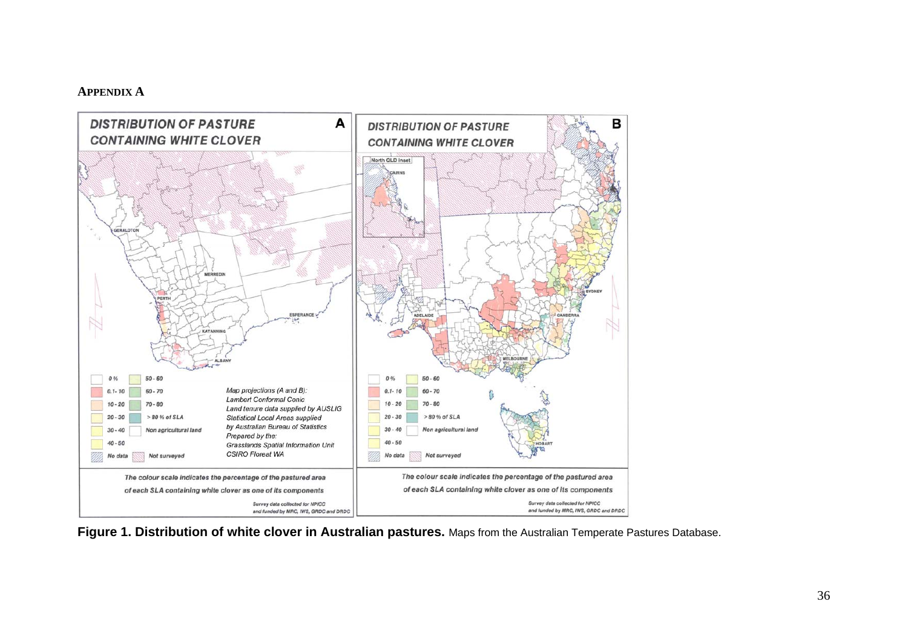#### **APPENDIX A**



<span id="page-39-0"></span>**Figure 1. Distribution of white clover in Australian pastures.** Maps from the Australian Temperate Pastures Database.